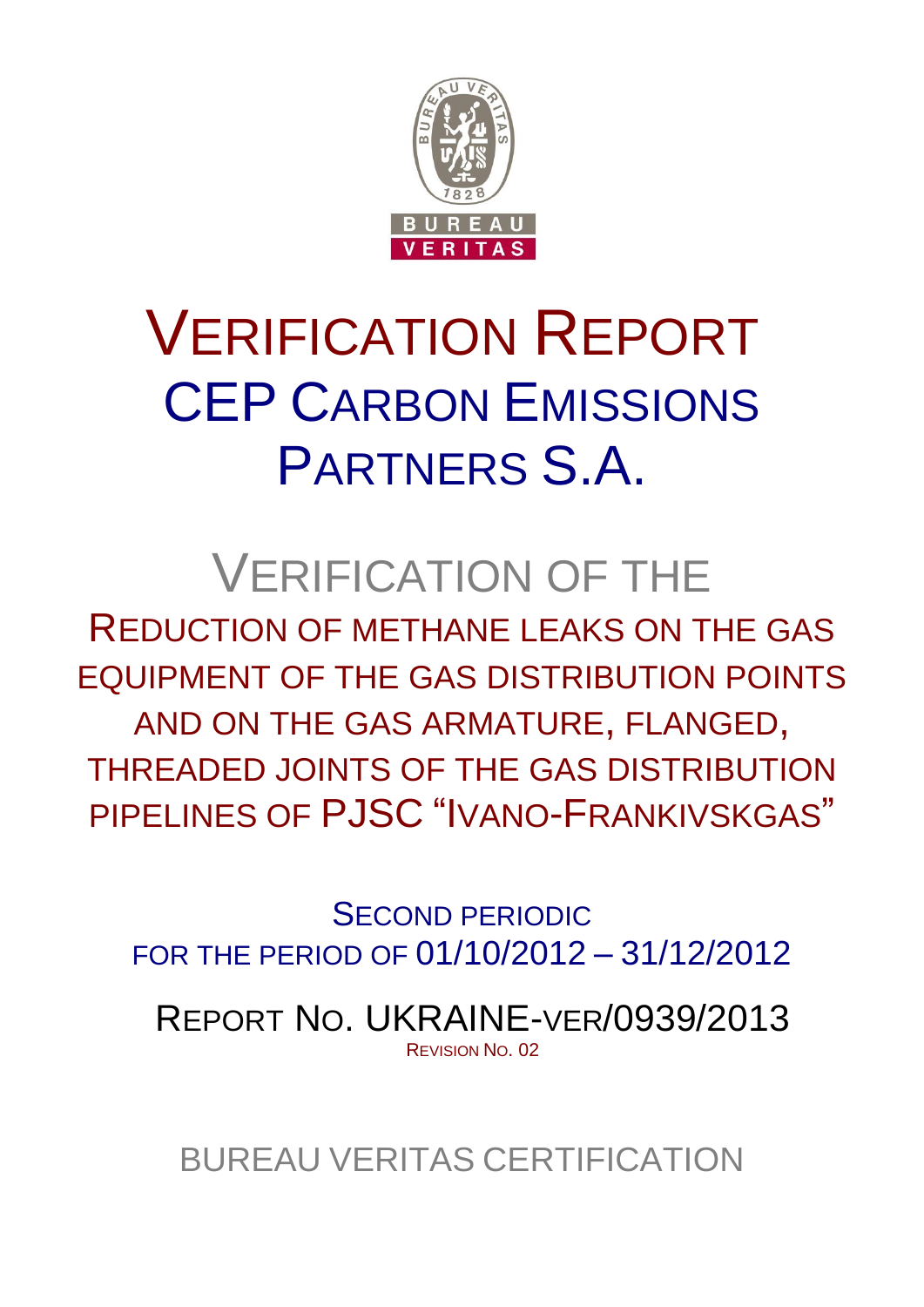

# VERIFICATION REPORT CEP CARBON EMISSIONS PARTNERS S.A.

# VERIFICATION OF THE

REDUCTION OF METHANE LEAKS ON THE GAS EQUIPMENT OF THE GAS DISTRIBUTION POINTS AND ON THE GAS ARMATURE, FLANGED, THREADED JOINTS OF THE GAS DISTRIBUTION PIPELINES OF PJSC "IVANO-FRANKIVSKGAS"

SECOND PERIODIC FOR THE PERIOD OF 01/10/2012 – 31/12/2012

REPORT NO. UKRAINE-VER/0939/2013 REVISION NO. 02

BUREAU VERITAS CERTIFICATION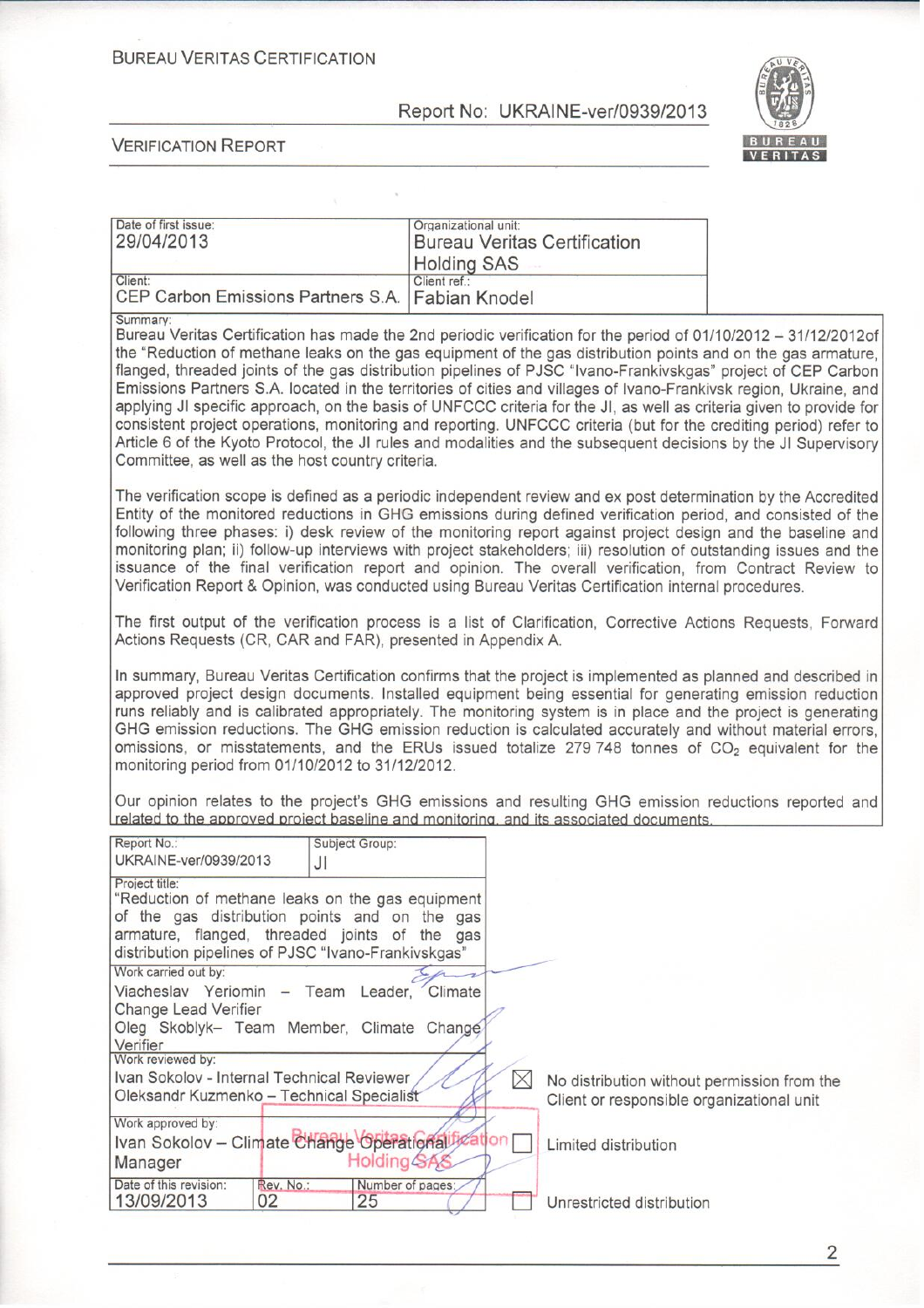#### **BUREAU VERITAS CERTIFICATION**

Report No: UKRAINE-ver/0939/2013

Organizational unit:



**VERIFICATION REPORT** 

Date of first issue:

| Date of first issue:<br>29/04/2013                                                                                                                                                                                                                                                                                                                                                                                                                                                                                                                                                                                                                                                                                                                                                                                                                                                                  | Organizational unit:<br><b>Bureau Veritas Certification</b><br><b>Holding SAS</b> |                                                                                          |  |
|-----------------------------------------------------------------------------------------------------------------------------------------------------------------------------------------------------------------------------------------------------------------------------------------------------------------------------------------------------------------------------------------------------------------------------------------------------------------------------------------------------------------------------------------------------------------------------------------------------------------------------------------------------------------------------------------------------------------------------------------------------------------------------------------------------------------------------------------------------------------------------------------------------|-----------------------------------------------------------------------------------|------------------------------------------------------------------------------------------|--|
| Client:<br>CEP Carbon Emissions Partners S.A.                                                                                                                                                                                                                                                                                                                                                                                                                                                                                                                                                                                                                                                                                                                                                                                                                                                       | Client ref.:<br>Fabian Knodel                                                     |                                                                                          |  |
| Summary:<br>Bureau Veritas Certification has made the 2nd periodic verification for the period of 01/10/2012 - 31/12/2012of<br>the "Reduction of methane leaks on the gas equipment of the gas distribution points and on the gas armature,<br>flanged, threaded joints of the gas distribution pipelines of PJSC "Ivano-Frankivskgas" project of CEP Carbon<br>Emissions Partners S.A. located in the territories of cities and villages of Ivano-Frankivsk region, Ukraine, and<br>applying JI specific approach, on the basis of UNFCCC criteria for the JI, as well as criteria given to provide for<br>consistent project operations, monitoring and reporting. UNFCCC criteria (but for the crediting period) refer to<br>Article 6 of the Kyoto Protocol, the JI rules and modalities and the subsequent decisions by the JI Supervisory<br>Committee, as well as the host country criteria. |                                                                                   |                                                                                          |  |
| The verification scope is defined as a periodic independent review and ex post determination by the Accredited<br>Entity of the monitored reductions in GHG emissions during defined verification period, and consisted of the<br>following three phases: i) desk review of the monitoring report against project design and the baseline and<br>monitoring plan; ii) follow-up interviews with project stakeholders; iii) resolution of outstanding issues and the<br>issuance of the final verification report and opinion. The overall verification, from Contract Review to<br>Verification Report & Opinion, was conducted using Bureau Veritas Certification internal procedures.                                                                                                                                                                                                             |                                                                                   |                                                                                          |  |
| The first output of the verification process is a list of Clarification, Corrective Actions Requests, Forward<br>Actions Requests (CR, CAR and FAR), presented in Appendix A.                                                                                                                                                                                                                                                                                                                                                                                                                                                                                                                                                                                                                                                                                                                       |                                                                                   |                                                                                          |  |
| In summary, Bureau Veritas Certification confirms that the project is implemented as planned and described in<br>approved project design documents. Installed equipment being essential for generating emission reduction<br>runs reliably and is calibrated appropriately. The monitoring system is in place and the project is generating<br>GHG emission reductions. The GHG emission reduction is calculated accurately and without material errors,<br>omissions, or misstatements, and the ERUs issued totalize 279 748 tonnes of $CO2$ equivalent for the<br>monitoring period from 01/10/2012 to 31/12/2012.                                                                                                                                                                                                                                                                                |                                                                                   |                                                                                          |  |
| Our opinion relates to the project's GHG emissions and resulting GHG emission reductions reported and<br>related to the approved project baseline and monitoring, and its associated documents.                                                                                                                                                                                                                                                                                                                                                                                                                                                                                                                                                                                                                                                                                                     |                                                                                   |                                                                                          |  |
| Report No.:<br>Subject Group:<br>UKRAINE-ver/0939/2013<br>JI                                                                                                                                                                                                                                                                                                                                                                                                                                                                                                                                                                                                                                                                                                                                                                                                                                        |                                                                                   |                                                                                          |  |
| Project title:<br>"Reduction of methane leaks on the gas equipment<br>of the gas distribution points and on the gas<br>armature, flanged, threaded joints of the gas<br>distribution pipelines of PJSC "Ivano-Frankivskgas"<br>Work carried out by:                                                                                                                                                                                                                                                                                                                                                                                                                                                                                                                                                                                                                                                 |                                                                                   |                                                                                          |  |
| Viacheslav Yeriomin - Team Leader, Climate<br>Change Lead Verifier<br>Oleg Skoblyk- Team Member, Climate Change<br>Verifier                                                                                                                                                                                                                                                                                                                                                                                                                                                                                                                                                                                                                                                                                                                                                                         |                                                                                   |                                                                                          |  |
| Work reviewed by:<br>Ivan Sokolov - Internal Technical Reviewer<br>Oleksandr Kuzmenko - Technical Specialist<br>Work approved by:                                                                                                                                                                                                                                                                                                                                                                                                                                                                                                                                                                                                                                                                                                                                                                   | $\boxtimes$                                                                       | No distribution without permission from the<br>Client or responsible organizational unit |  |
| Ivan Sokolov - Climate Change Operationalitie<br>Holding SAS<br>Manager                                                                                                                                                                                                                                                                                                                                                                                                                                                                                                                                                                                                                                                                                                                                                                                                                             |                                                                                   | Limited distribution                                                                     |  |
| Date of this revision:<br>Rev. No.:<br>13/09/2013<br>25<br>02                                                                                                                                                                                                                                                                                                                                                                                                                                                                                                                                                                                                                                                                                                                                                                                                                                       | Number of pages:                                                                  | Unrestricted distribution                                                                |  |

 $\overline{c}$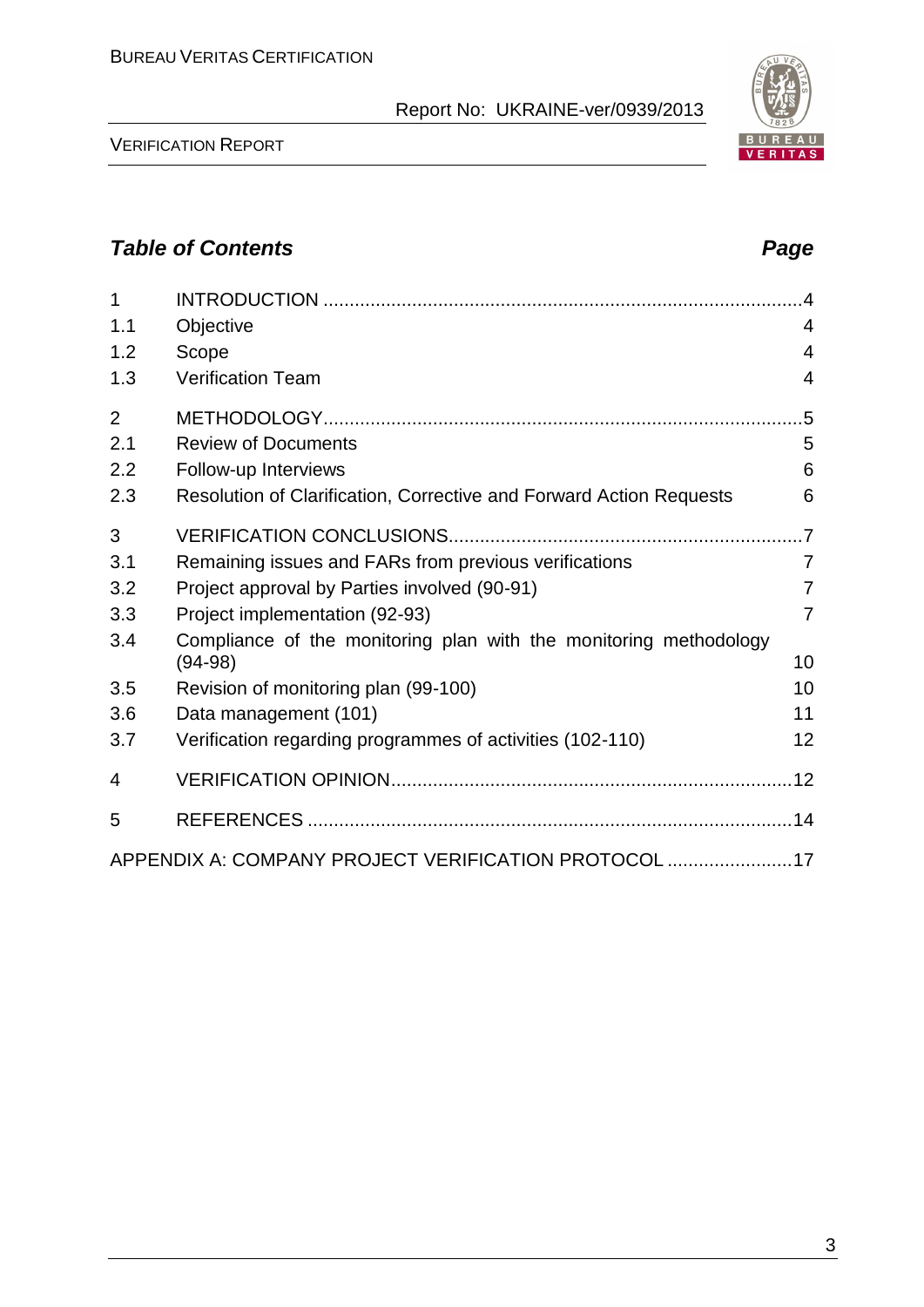| 1<br>1.1       | Objective                                                                      | $\cdot$<br>4        |
|----------------|--------------------------------------------------------------------------------|---------------------|
| 1.2<br>1.3     | Scope<br><b>Verification Team</b>                                              | 4<br>$\overline{4}$ |
| $\overline{2}$ |                                                                                | .5                  |
| 2.1            | <b>Review of Documents</b>                                                     | 5                   |
| 2.2            | Follow-up Interviews                                                           | 6                   |
| 2.3            | Resolution of Clarification, Corrective and Forward Action Requests            | 6                   |
| 3              |                                                                                |                     |
| 3.1            | Remaining issues and FARs from previous verifications                          | $\overline{7}$      |
| 3.2            | Project approval by Parties involved (90-91)                                   | 7                   |
| 3.3            | Project implementation (92-93)                                                 | $\overline{7}$      |
| 3.4            | Compliance of the monitoring plan with the monitoring methodology<br>$(94-98)$ | 10                  |
| 3.5            | Revision of monitoring plan (99-100)                                           | 10                  |
| 3.6            | Data management (101)                                                          | 11                  |
| 3.7            | Verification regarding programmes of activities (102-110)                      | 12                  |
| 4              |                                                                                |                     |
| 5              |                                                                                |                     |
|                | APPENDIX A: COMPANY PROJECT VERIFICATION PROTOCOL 17                           |                     |

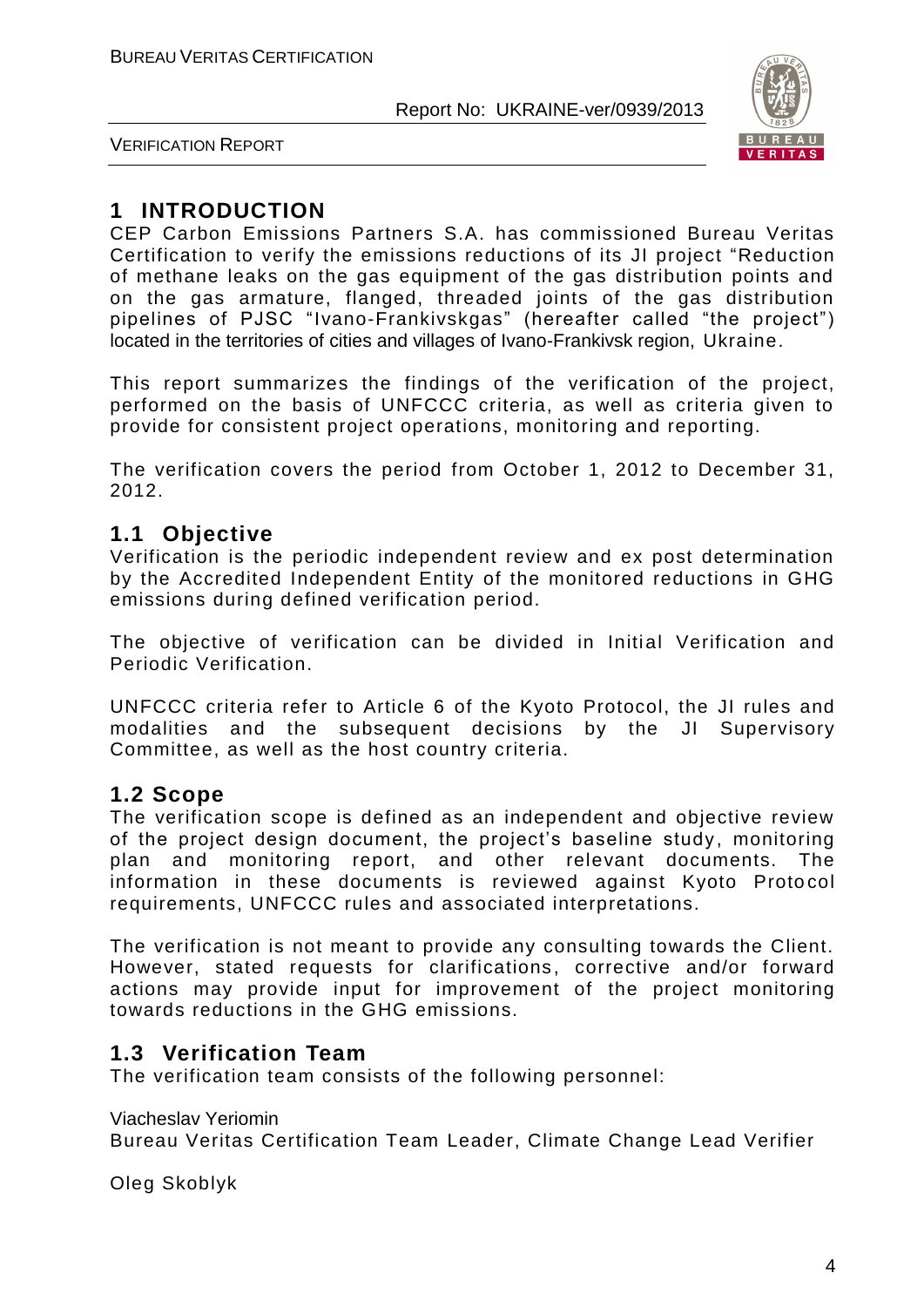

VERIFICATION REPORT

# **1 INTRODUCTION**

CEP Carbon Emissions Partners S.A. has commissioned Bureau Veritas Certification to verify the emissions reductions of its JI project "Reduction of methane leaks on the gas equipment of the gas distribution points and on the gas armature, flanged, threaded joints of the gas distribution pipelines of PJSC "Ivano-Frankivskgas" (hereafter called "the project") located in the territories of cities and villages of Ivano-Frankivsk region, Ukraine.

This report summarizes the findings of the verification of the project, performed on the basis of UNFCCC criteria, as well as criteria given to provide for consistent project operations, monitoring and reporting.

The verification covers the period from October 1, 2012 to December 31, 2012.

# **1.1 Objective**

Verification is the periodic independent review and ex post determination by the Accredited Independent Entity of the monitored reductions in GHG emissions during defined verification period.

The objective of verification can be divided in Initial Verification and Periodic Verification.

UNFCCC criteria refer to Article 6 of the Kyoto Protocol, the JI rules and modalities and the subsequent decisions by the JI Supervisory Committee, as well as the host country criteria.

#### **1.2 Scope**

The verification scope is defined as an independent and objective review of the project design document, the project's baseline study, monitoring plan and monitoring report, and other relevant documents. The information in these documents is reviewed against Kyoto Protocol requirements, UNFCCC rules and associated interpretations.

The verification is not meant to provide any consulting towards the Client. However, stated requests for clarifications, corrective and/or forward actions may provide input for improvement of the project monitoring towards reductions in the GHG emissions.

# **1.3 Verification Team**

The verification team consists of the following personnel:

Viacheslav Yeriomin Bureau Veritas Certification Team Leader, Climate Change Lead Verifier

Oleg Skoblyk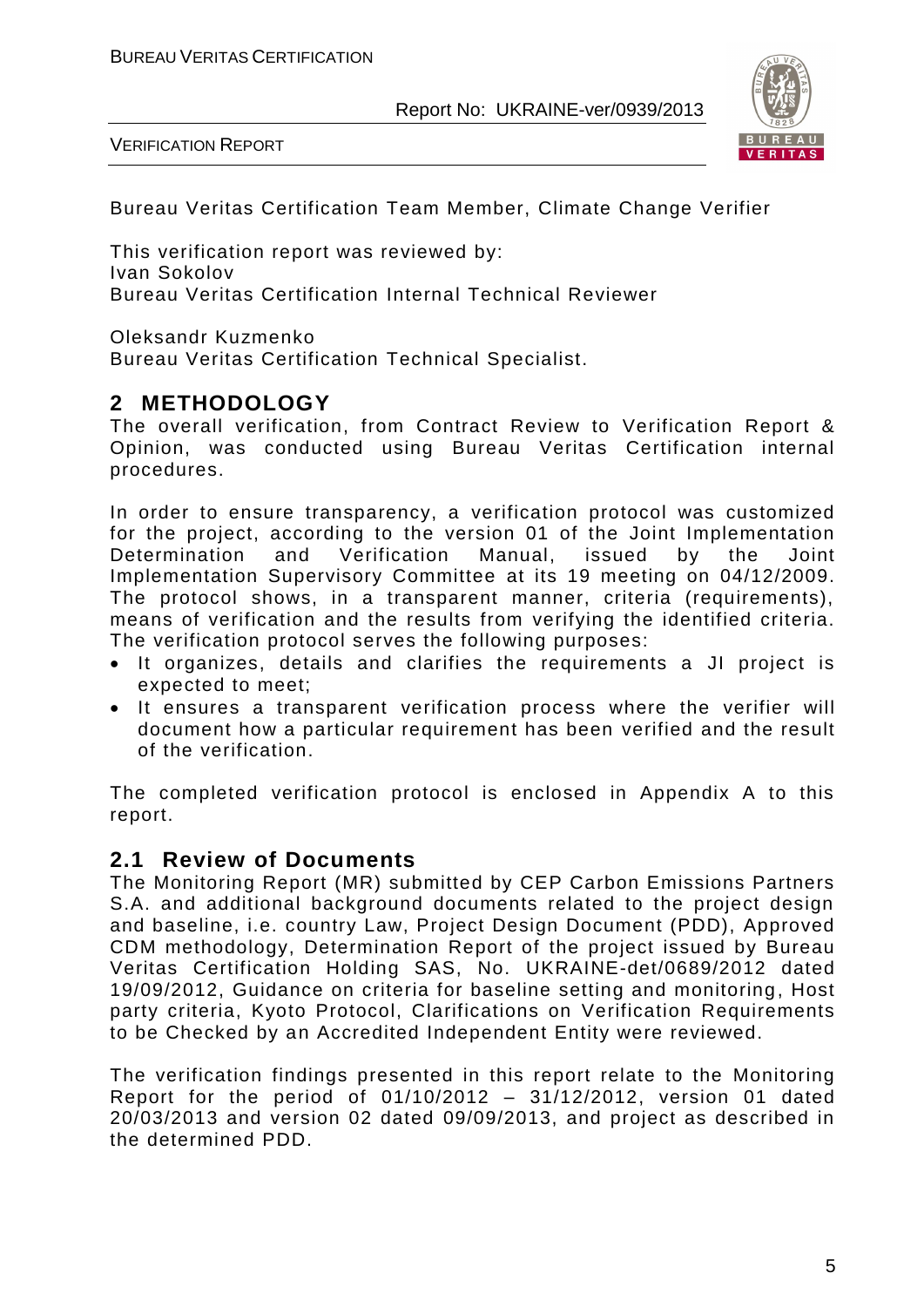VERIFICATION REPORT



Bureau Veritas Certification Team Member, Climate Change Verifier

This verification report was reviewed by: Ivan Sokolov Bureau Veritas Certification Internal Technical Reviewer

Oleksandr Kuzmenko

Bureau Veritas Certification Technical Specialist.

# **2 METHODOLOGY**

The overall verification, from Contract Review to Verification Report & Opinion, was conducted using Bureau Veritas Certification internal procedures.

In order to ensure transparency, a verification protocol was customized for the project, according to the version 01 of the Joint Implementation Determination and Verification Manual, issued by the Joint Implementation Supervisory Committee at its 19 meeting on 04/12/2009. The protocol shows, in a transparent manner, criteria (requirements), means of verification and the results from verifying the identified criteria. The verification protocol serves the following purposes:

- It organizes, details and clarifies the requirements a JI project is expected to meet;
- It ensures a transparent verification process where the verifier will document how a particular requirement has been verified and the result of the verification.

The completed verification protocol is enclosed in Appendix A to this report.

#### **2.1 Review of Documents**

The Monitoring Report (MR) submitted by CEP Carbon Emissions Partners S.A. and additional background documents related to the project design and baseline, i.e. country Law, Project Design Document (PDD), Approved CDM methodology, Determination Report of the project issued by Bureau Veritas Certification Holding SAS, No. UKRAINE-det/0689/2012 dated 19/09/2012, Guidance on criteria for baseline setting and monitoring, Host party criteria, Kyoto Protocol, Clarifications on Verification Requirements to be Checked by an Accredited Independent Entity were reviewed.

The verification findings presented in this report relate to the Monitoring Report for the period of 01/10/2012 – 31/12/2012, version 01 dated 20/03/2013 and version 02 dated 09/09/2013, and project as described in the determined PDD.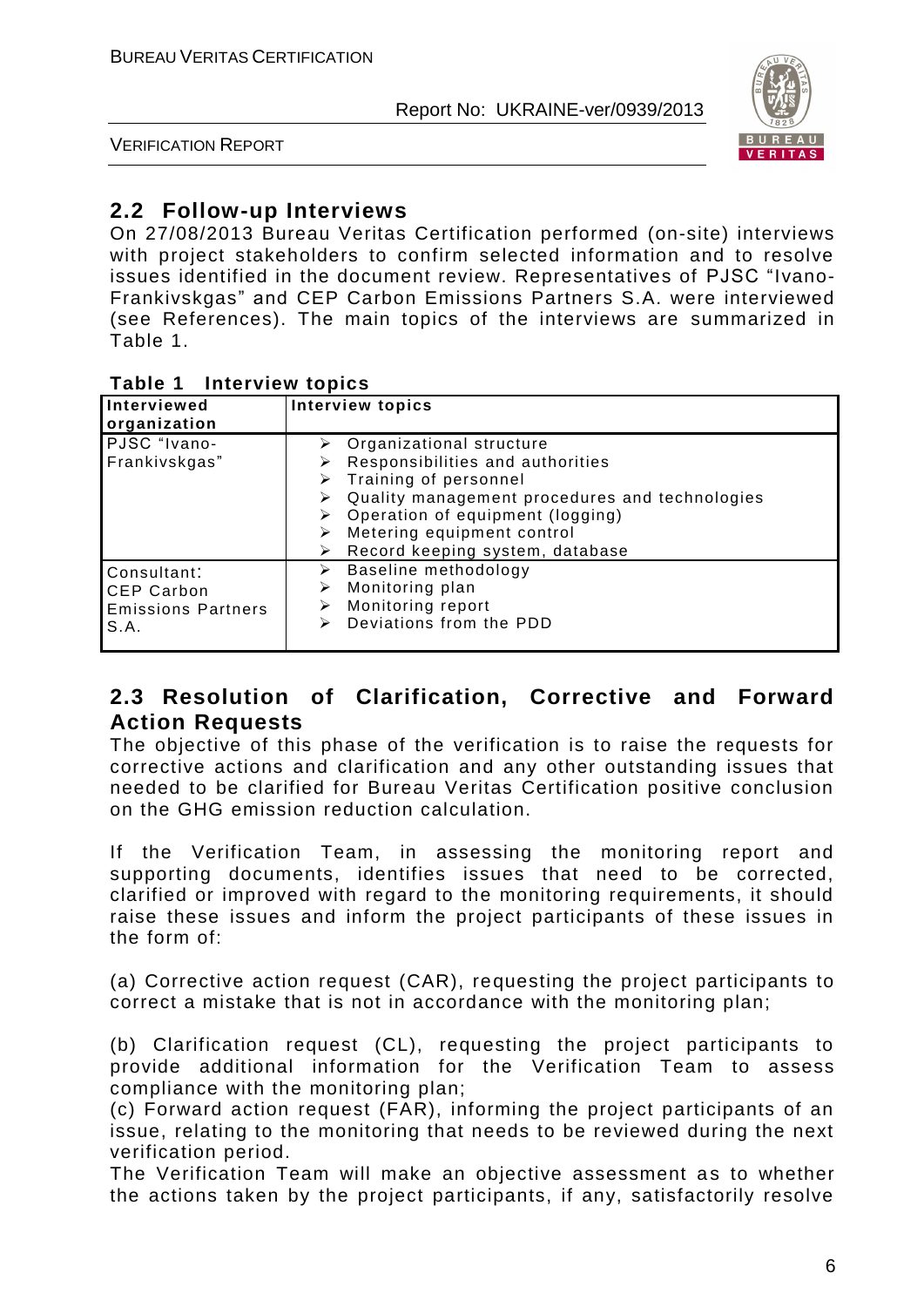

VERIFICATION REPORT

# **2.2 Follow-up Interviews**

On 27/08/2013 Bureau Veritas Certification performed (on-site) interviews with project stakeholders to confirm selected information and to resolve issues identified in the document review. Representatives of PJSC "Ivano-Frankivskgas" and CEP Carbon Emissions Partners S.A. were interviewed (see References). The main topics of the interviews are summarized in Table 1.

#### **Table 1 Interview topics**

| Interviewed<br>organization                                           | <b>Interview topics</b>                                                                                                                                                                                                                                                             |  |  |  |
|-----------------------------------------------------------------------|-------------------------------------------------------------------------------------------------------------------------------------------------------------------------------------------------------------------------------------------------------------------------------------|--|--|--|
| PJSC "Ivano-<br>Frankivskgas"                                         | $\triangleright$ Organizational structure<br>Responsibilities and authorities<br>$\triangleright$ Training of personnel<br>Quality management procedures and technologies<br>Operation of equipment (logging)<br>Metering equipment control<br>Record keeping system, database<br>➤ |  |  |  |
| Consultant:<br><b>CEP Carbon</b><br><b>Emissions Partners</b><br>S.A. | Baseline methodology<br>➤<br>Monitoring plan<br>⋗<br>Monitoring report<br>⋗<br>Deviations from the PDD<br>⋗                                                                                                                                                                         |  |  |  |

# **2.3 Resolution of Clarification, Corrective and Forward Action Requests**

The objective of this phase of the verification is to raise the requests for corrective actions and clarification and any other outstanding issues that needed to be clarified for Bureau Veritas Certification positive conclusion on the GHG emission reduction calculation.

If the Verification Team, in assessing the monitoring report and supporting documents, identifies issues that need to be corrected, clarified or improved with regard to the monitoring requirements, it should raise these issues and inform the project participants of these issues in the form of:

(a) Corrective action request (CAR), requesting the project participants to correct a mistake that is not in accordance with the monitoring plan;

(b) Clarification request (CL), requesting the project participants to provide additional information for the Verification Team to assess compliance with the monitoring plan;

(c) Forward action request (FAR), informing the project participants of an issue, relating to the monitoring that needs to be reviewed during the next verification period.

The Verification Team will make an objective assessment as to whether the actions taken by the project participants, if any, satisfactorily resolve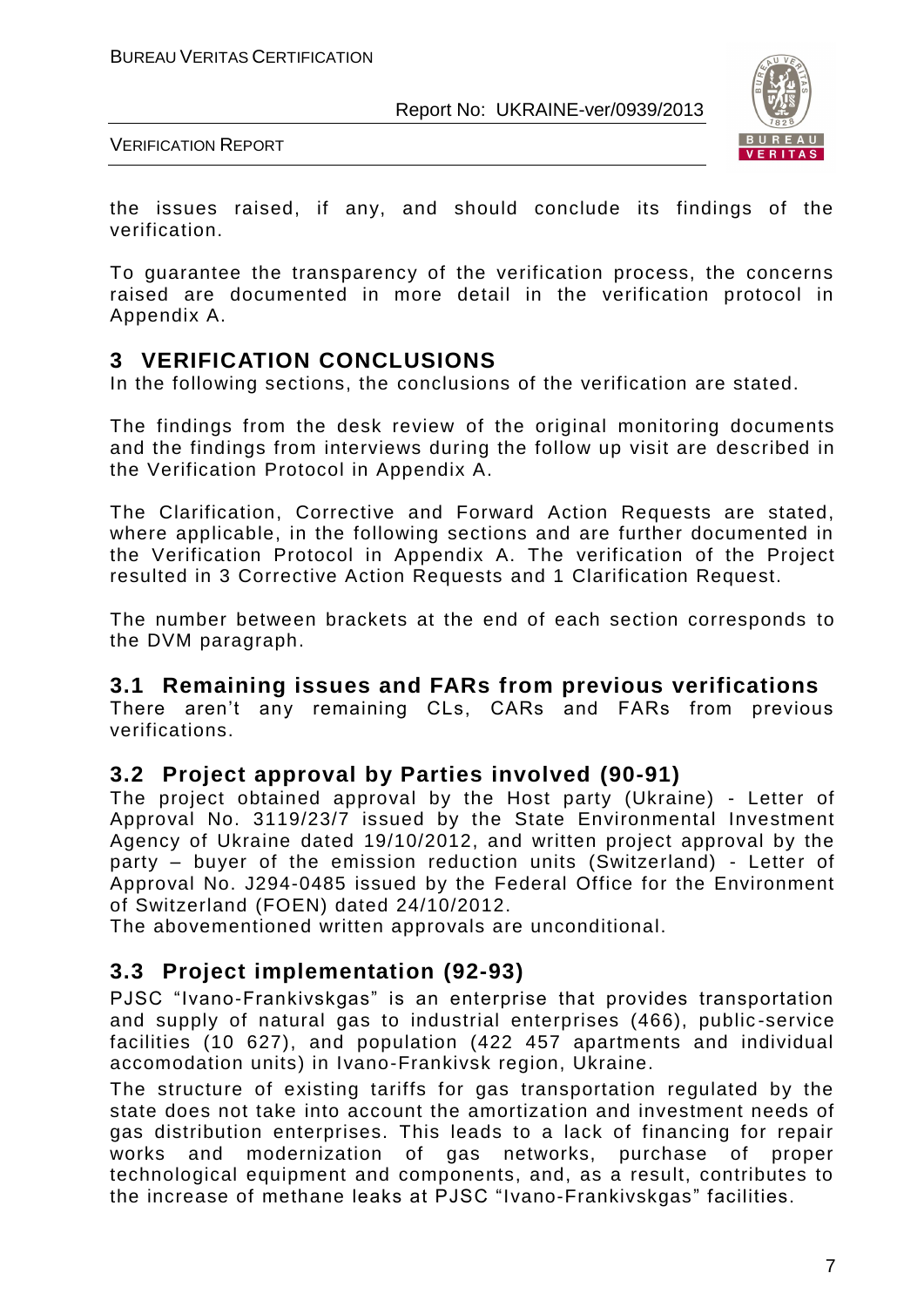

VERIFICATION REPORT

the issues raised, if any, and should conclude its findings of the verification.

To guarantee the transparency of the verification process, the concerns raised are documented in more detail in the verification protocol in Appendix A.

# **3 VERIFICATION CONCLUSIONS**

In the following sections, the conclusions of the verification are stated.

The findings from the desk review of the original monitoring documents and the findings from interviews during the follow up visit are described in the Verification Protocol in Appendix A.

The Clarification, Corrective and Forward Action Requests are stated, where applicable, in the following sections and are further documented in the Verification Protocol in Appendix A. The verification of the Project resulted in 3 Corrective Action Requests and 1 Clarification Request.

The number between brackets at the end of each section corresponds to the DVM paragraph.

#### **3.1 Remaining issues and FARs from previous verifications**

There aren't any remaining CLs, CARs and FARs from previous verifications.

### **3.2 Project approval by Parties involved (90-91)**

The project obtained approval by the Host party (Ukraine) - Letter of Approval No. 3119/23/7 issued by the State Environmental Investment Agency of Ukraine dated 19/10/2012, and written project approval by the party – buyer of the emission reduction units (Switzerland) - Letter of Approval No. J294-0485 issued by the Federal Office for the Environment of Switzerland (FOEN) dated 24/10/2012.

The abovementioned written approvals are unconditional.

#### **3.3 Project implementation (92-93)**

PJSC "Ivano-Frankivskgas" is an enterprise that provides transportation and supply of natural gas to industrial enterprises (466), public -service facilities (10 627), and population (422 457 apartments and individual accomodation units) in Ivano-Frankivsk region, Ukraine.

The structure of existing tariffs for gas transportation regulated by the state does not take into account the amortization and investment needs of gas distribution enterprises. This leads to a lack of financing for repair works and modernization of gas networks, purchase of proper technological equipment and components, and, as a result, contributes to the increase of methane leaks at PJSC "Ivano-Frankivskgas" facilities.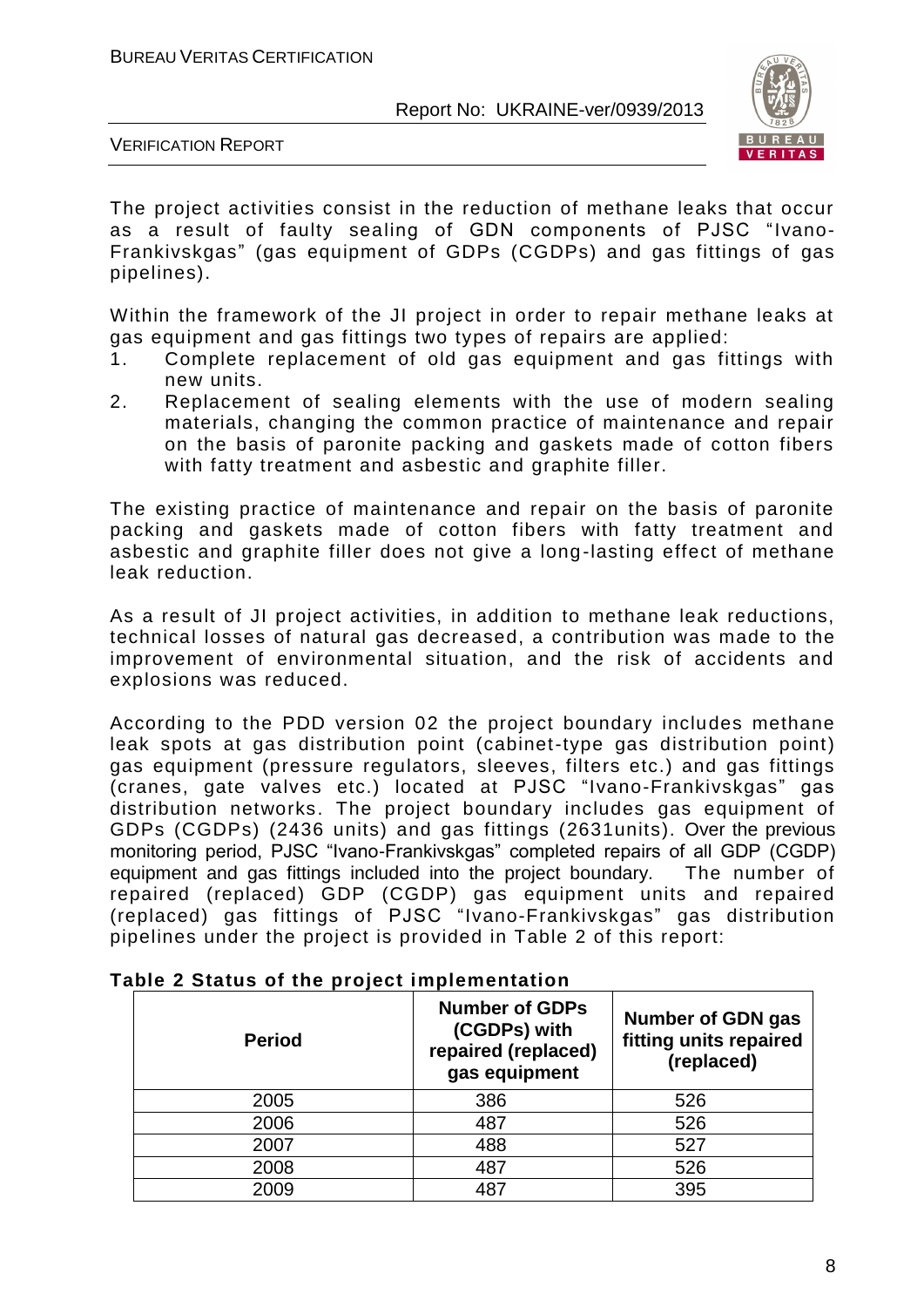

VERIFICATION REPORT

The project activities consist in the reduction of methane leaks that occur as a result of faulty sealing of GDN components of PJSC "Ivano-Frankivskgas" (gas equipment of GDPs (CGDPs) and gas fittings of gas pipelines).

Within the framework of the JI project in order to repair methane leaks at gas equipment and gas fittings two types of repairs are applied:

- 1. Complete replacement of old gas equipment and gas fittings with new units.
- 2. Replacement of sealing elements with the use of modern sealing materials, changing the common practice of maintenance and repair on the basis of paronite packing and gaskets made of cotton fibers with fatty treatment and asbestic and graphite filler.

The existing practice of maintenance and repair on the basis of paronite packing and gaskets made of cotton fibers with fatty treatment and asbestic and graphite filler does not give a long-lasting effect of methane leak reduction.

As a result of JI project activities, in addition to methane leak reductions, technical losses of natural gas decreased, a contribution was made to the improvement of environmental situation, and the risk of accidents and explosions was reduced.

According to the PDD version 02 the project boundary includes methane leak spots at gas distribution point (cabinet-type gas distribution point) gas equipment (pressure regulators, sleeves, filters etc.) and gas fittings (cranes, gate valves etc.) located at PJSC "Ivano-Frankivskgas" gas distribution networks. The project boundary includes gas equipment of GDPs (CGDPs) (2436 units) and gas fittings (2631units). Over the previous monitoring period, PJSC "Ivano-Frankivskgas" completed repairs of all GDP (CGDP) equipment and gas fittings included into the project boundary. The number of repaired (replaced) GDP (CGDP) gas equipment units and repaired (replaced) gas fittings of PJSC "Ivano-Frankivskgas" gas distribution pipelines under the project is provided in Table 2 of this report:

| <b>Period</b> | <b>Number of GDPs</b><br>(CGDPs) with<br>repaired (replaced)<br>gas equipment | <b>Number of GDN gas</b><br>fitting units repaired<br>(replaced) |  |  |
|---------------|-------------------------------------------------------------------------------|------------------------------------------------------------------|--|--|
| 2005          | 386                                                                           | 526                                                              |  |  |
| 2006          | 487                                                                           | 526                                                              |  |  |
| 2007          | 488                                                                           | 527                                                              |  |  |
| 2008          | 487                                                                           | 526                                                              |  |  |
| 2009          | 487                                                                           | 395                                                              |  |  |

#### **Table 2 Status of the project implementation**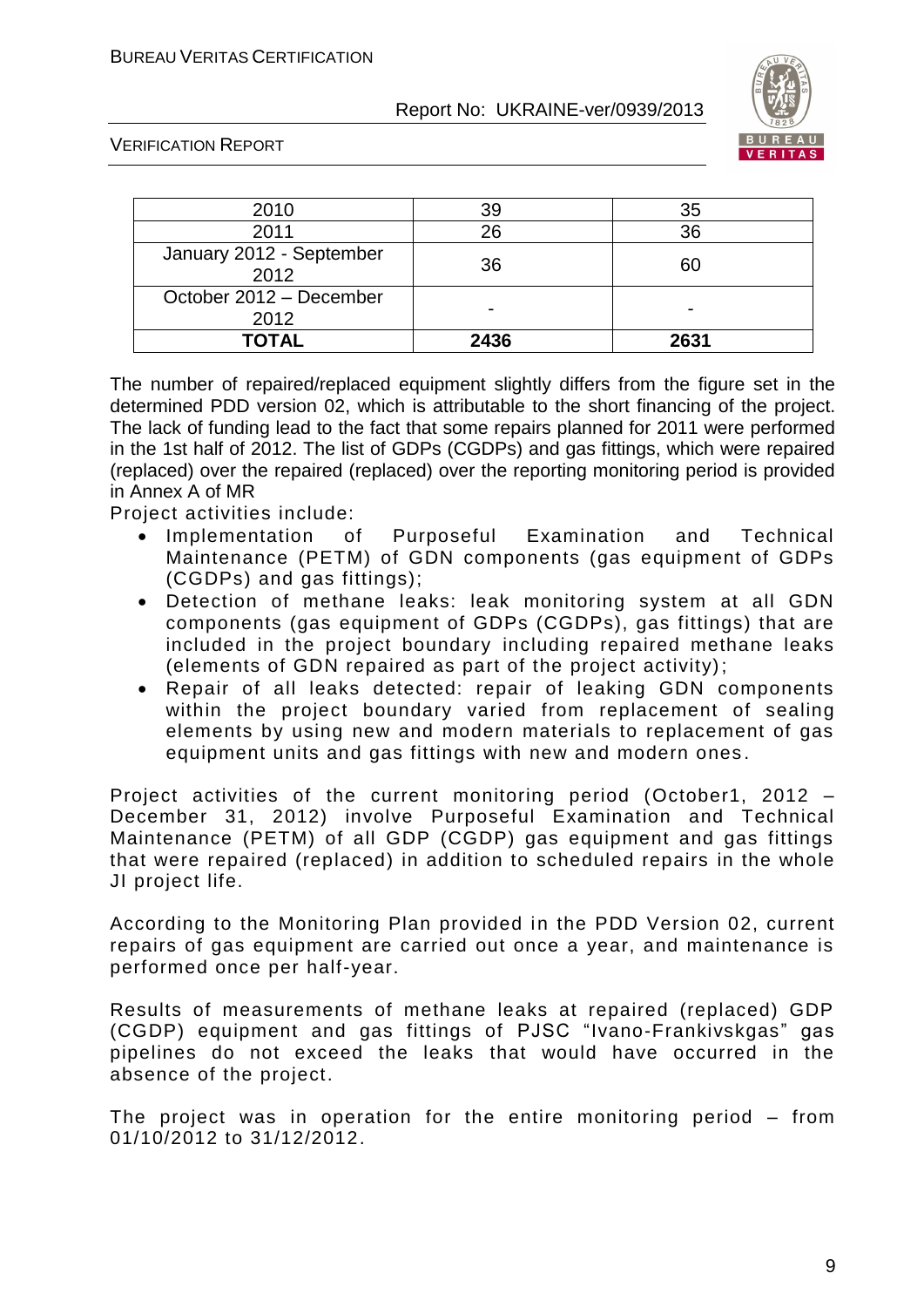

VERIFICATION REPORT

| 2010                             | 39   | 35   |
|----------------------------------|------|------|
| 2011                             | 26   | 36   |
| January 2012 - September<br>2012 | 36   | 60   |
| October 2012 - December<br>2012  |      |      |
| TOTAL                            | 2436 | 2631 |

The number of repaired/replaced equipment slightly differs from the figure set in the determined PDD version 02, which is attributable to the short financing of the project. The lack of funding lead to the fact that some repairs planned for 2011 were performed in the 1st half of 2012. The list of GDPs (CGDPs) and gas fittings, which were repaired (replaced) over the repaired (replaced) over the reporting monitoring period is provided in Annex A of MR

Project activities include:

- Implementation of Purposeful Examination and Technical Maintenance (PETM) of GDN components (gas equipment of GDPs (CGDPs) and gas fittings);
- Detection of methane leaks: leak monitoring system at all GDN components (gas equipment of GDPs (CGDPs), gas fittings) that are included in the project boundary including repaired methane leaks (elements of GDN repaired as part of the project activity);
- Repair of all leaks detected: repair of leaking GDN components within the project boundary varied from replacement of sealing elements by using new and modern materials to replacement of gas equipment units and gas fittings with new and modern ones .

Project activities of the current monitoring period (October1, 2012 – December 31, 2012) involve Purposeful Examination and Technical Maintenance (PETM) of all GDP (CGDP) gas equipment and gas fittings that were repaired (replaced) in addition to scheduled repairs in the whole JI project life.

According to the Monitoring Plan provided in the PDD Version 02, current repairs of gas equipment are carried out once a year, and maintenance is performed once per half-year.

Results of measurements of methane leaks at repaired (replaced) GDP (CGDP) equipment and gas fittings of PJSC "Ivano-Frankivskgas" gas pipelines do not exceed the leaks that would have occurred in the absence of the project.

The project was in operation for the entire monitoring period – from 01/10/2012 to 31/12/2012.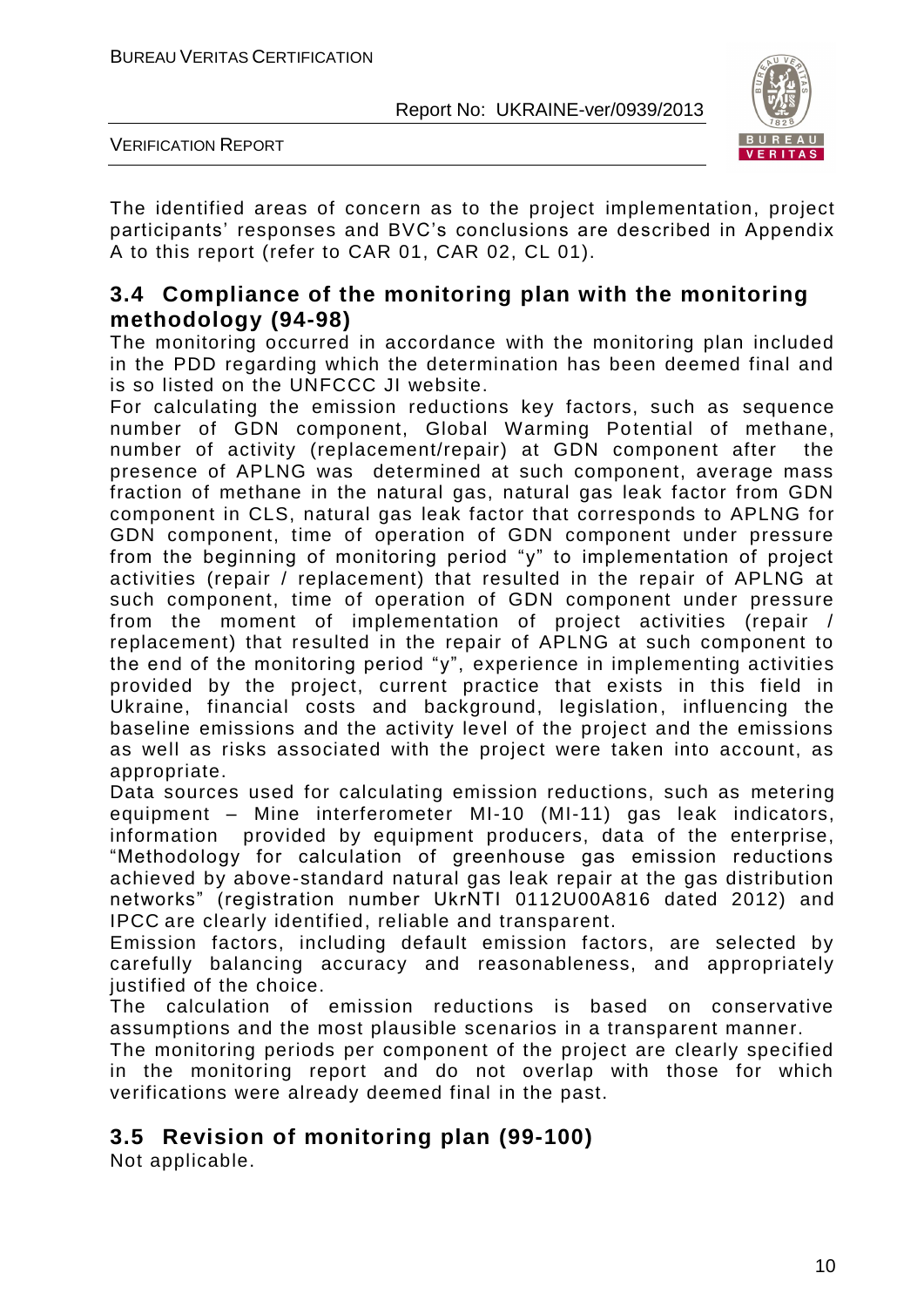

VERIFICATION REPORT

The identified areas of concern as to the project implementation, project participants' responses and BVC's conclusions are described in Appendix A to this report (refer to CAR 01, CAR 02, CL 01).

### **3.4 Compliance of the monitoring plan with the monitoring methodology (94-98)**

The monitoring occurred in accordance with the monitoring plan included in the PDD regarding which the determination has been deemed final and is so listed on the UNFCCC JI website.

For calculating the emission reductions key factors, such as sequence number of GDN component, Global Warming Potential of methane, number of activity (replacement/repair) at GDN component after the presence of APLNG was determined at such component, average mass fraction of methane in the natural gas, natural gas leak factor from GDN component in CLS, natural gas leak factor that corresponds to APLNG for GDN component, time of operation of GDN component under pressure from the beginning of monitoring period "y" to implementation of project activities (repair / replacement) that resulted in the repair of APLNG at such component, time of operation of GDN component under pressure from the moment of implementation of project activities (repair / replacement) that resulted in the repair of APLNG at such component to the end of the monitoring period "y", experience in implementing activities provided by the project, current practice that exists in this field in Ukraine, financial costs and background, legislation, influencing the baseline emissions and the activity level of the project and the emissions as well as risks associated with the project were taken into account, as appropriate.

Data sources used for calculating emission reductions, such as metering equipment – Mine interferometer MI-10 (MI-11) gas leak indicators, information provided by equipment producers, data of the enterprise, "Methodology for calculation of greenhouse gas emission reductions achieved by above-standard natural gas leak repair at the gas distribution networks" (registration number UkrNTI 0112U00A816 dated 2012) and IPCC are clearly identified, reliable and transparent.

Emission factors, including default emission factors, are selected by carefully balancing accuracy and reasonableness, and appropriately justified of the choice.

The calculation of emission reductions is based on conservative assumptions and the most plausible scenarios in a transparent manner.

The monitoring periods per component of the project are clearly specified in the monitoring report and do not overlap with those for which verifications were already deemed final in the past.

# **3.5 Revision of monitoring plan (99-100)**

Not applicable.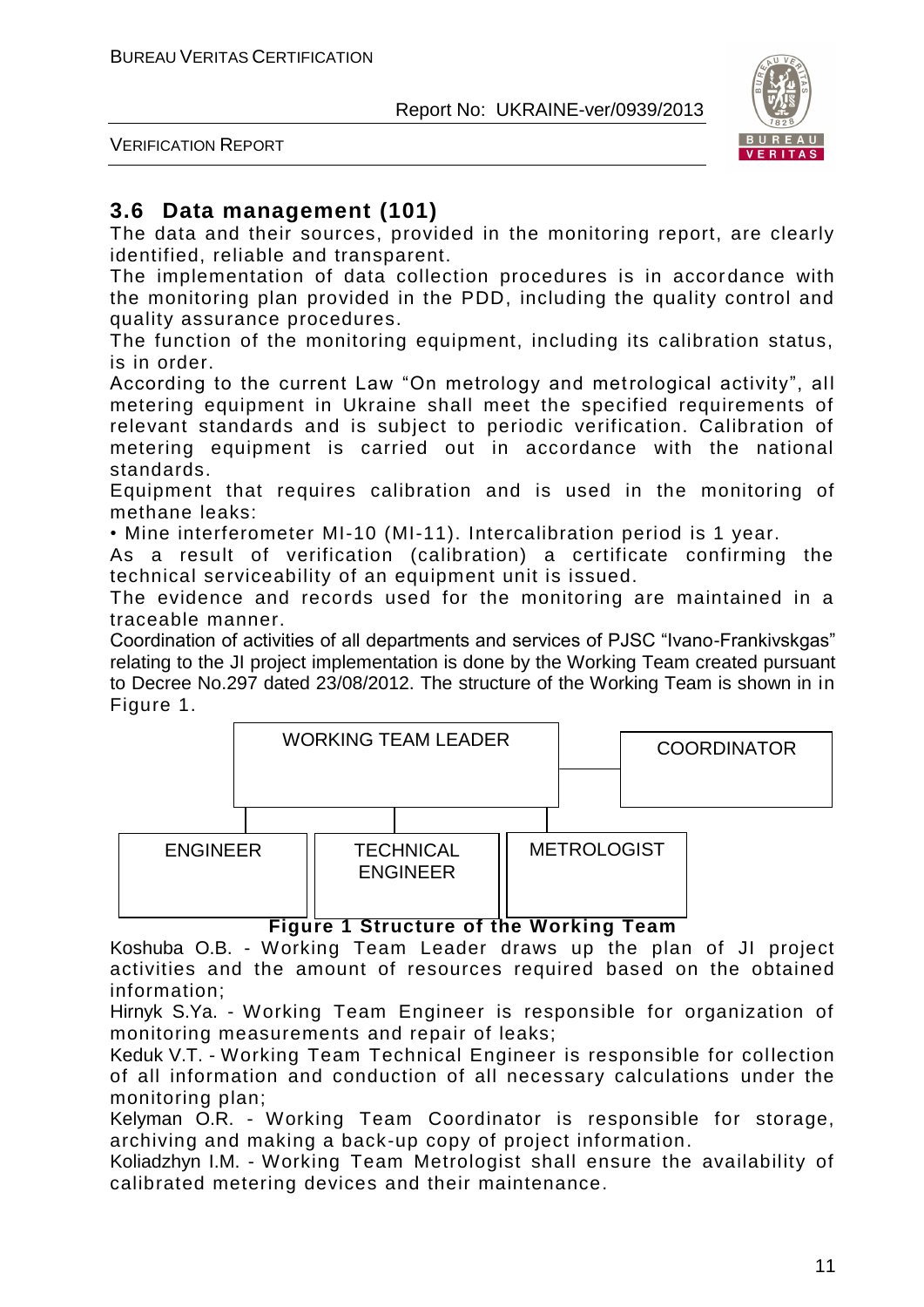

VERIFICATION REPORT

# **3.6 Data management (101)**

The data and their sources, provided in the monitoring report, are clearly identified, reliable and transparent.

The implementation of data collection procedures is in accordance with the monitoring plan provided in the PDD, including the quality control and quality assurance procedures.

The function of the monitoring equipment, including its calibration status, is in order.

According to the current Law "On metrology and metrological activity", all metering equipment in Ukraine shall meet the specified requirements of relevant standards and is subject to periodic verification. Calibration of metering equipment is carried out in accordance with the national standards.

Equipment that requires calibration and is used in the monitoring of methane leaks:

• Mine interferometer MI-10 (MI-11). Intercalibration period is 1 year.

As a result of verification (calibration) a certificate confirming the technical serviceability of an equipment unit is issued.

The evidence and records used for the monitoring are maintained in a traceable manner.

Coordination of activities of all departments and services of PJSC "Ivano-Frankivskgas" relating to the JI project implementation is done by the Working Team created pursuant to Decree No.297 dated 23/08/2012. The structure of the Working Team is shown in in Figure 1.



#### **Figure 1 Structure of the Working Team**

Koshuba O.B. - Working Team Leader draws up the plan of JI project activities and the amount of resources required based on the obtained information;

Hirnyk S.Ya. - Working Team Engineer is responsible for organization of monitoring measurements and repair of leaks;

Keduk V.T. - Working Team Technical Engineer is responsible for collection of all information and conduction of all necessary calculations under the monitoring plan;

Kelyman O.R. - Working Team Coordinator is responsible for storage, archiving and making a back-up copy of project information.

Koliadzhyn I.M. - Working Team Metrologist shall ensure the availability of calibrated metering devices and their maintenance.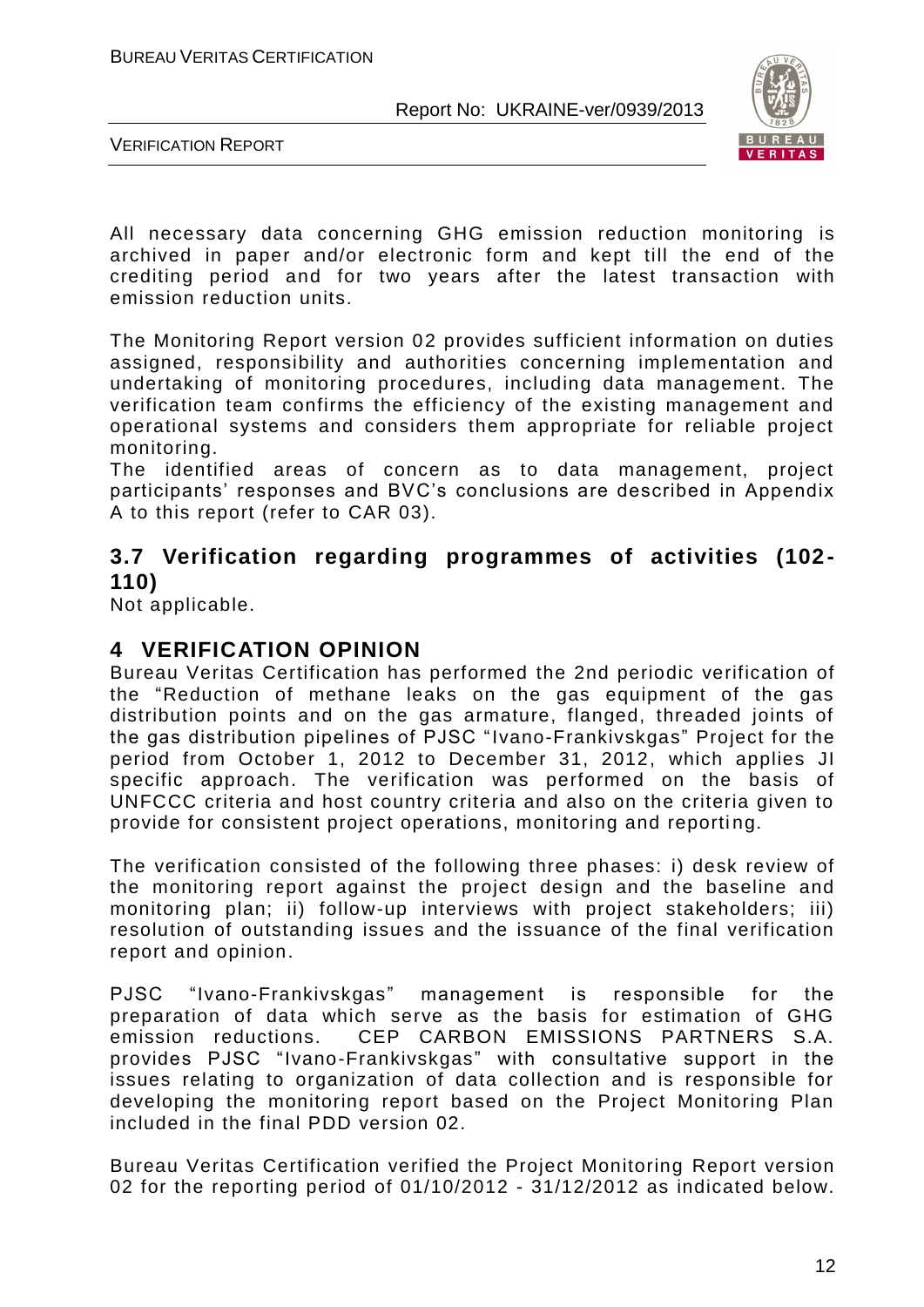

VERIFICATION REPORT

All necessary data concerning GHG emission reduction monitoring is archived in paper and/or electronic form and kept till the end of the crediting period and for two years after the latest transaction with emission reduction units.

The Monitoring Report version 02 provides sufficient information on duties assigned, responsibility and authorities concerning implementation and undertaking of monitoring procedures, including data management. The verification team confirms the efficiency of the existing management and operational systems and considers them appropriate for reliable project monitoring.

The identified areas of concern as to data management, project participants' responses and BVC's conclusions are described in Appendix A to this report (refer to CAR 03).

# **3.7 Verification regarding programmes of activities (102- 110)**

Not applicable.

# **4 VERIFICATION OPINION**

Bureau Veritas Certification has performed the 2nd periodic verification of the "Reduction of methane leaks on the gas equipment of the gas distribution points and on the gas armature, flanged, threaded joints of the gas distribution pipelines of PJSC "Ivano-Frankivskgas" Project for the period from October 1, 2012 to December 31, 2012, which applies JI specific approach. The verification was performed on the basis of UNFCCC criteria and host country criteria and also on the criteria given to provide for consistent project operations, monitoring and reporting.

The verification consisted of the following three phases: i) desk review of the monitoring report against the project design and the baseline and monitoring plan; ii) follow-up interviews with project stakeholders; iii) resolution of outstanding issues and the issuance of the final verification report and opinion.

PJSC "Ivano-Frankivskgas" management is responsible for the preparation of data which serve as the basis for estimation of GHG emission reductions. CEP CARBON EMISSIONS PARTNERS S.A. provides PJSC "Ivano-Frankivskgas" with consultative support in the issues relating to organization of data collection and is responsible for developing the monitoring report based on the Project Monitoring Plan included in the final PDD version 02.

Bureau Veritas Certification verified the Project Monitoring Report version 02 for the reporting period of 01/10/2012 - 31/12/2012 as indicated below.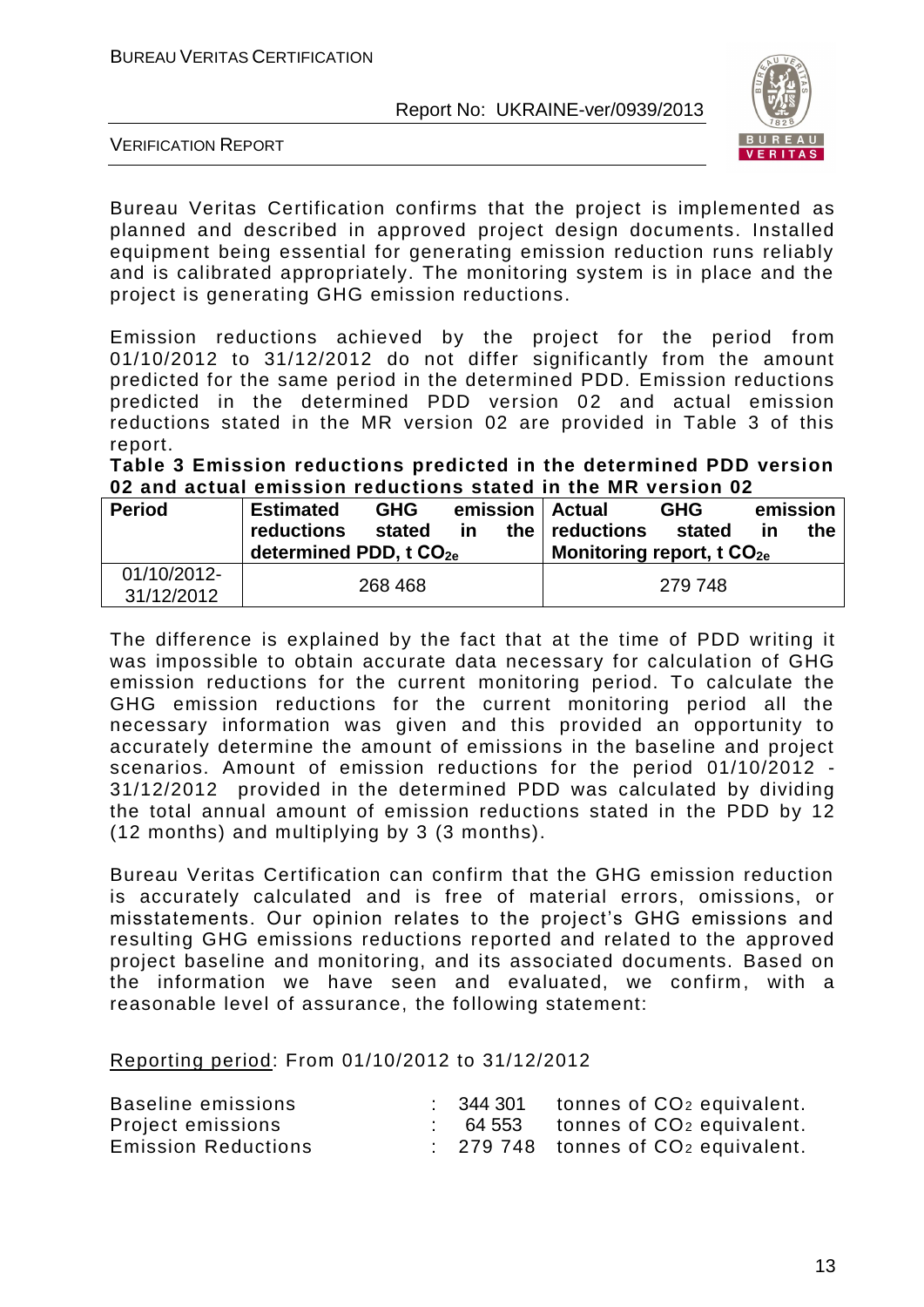

VERIFICATION REPORT

Bureau Veritas Certification confirms that the project is implemented as planned and described in approved project design documents. Installed equipment being essential for generating emission reduction runs reliably and is calibrated appropriately. The monitoring system is in place and the project is generating GHG emission reductions.

Emission reductions achieved by the project for the period from 01/10/2012 to 31/12/2012 do not differ significantly from the amount predicted for the same period in the determined PDD. Emission reductions predicted in the determined PDD version 02 and actual emission reductions stated in the MR version 02 are provided in Table 3 of this report.

**Table 3 Emission reductions predicted in the determined PDD version 02 and actual emission reductions stated in the MR version 02**

| <b>Period</b>             | <b>Estimated</b><br><b>reductions</b> | <b>GHG</b><br>stated |         |  | emission   Actual<br>the $ $ reductions | <b>GHG</b><br>stated |    | emission<br>the |
|---------------------------|---------------------------------------|----------------------|---------|--|-----------------------------------------|----------------------|----|-----------------|
|                           | determined PDD, t CO <sub>2e</sub>    |                      | in      |  | Monitoring report, t $CO2e$             |                      | ın |                 |
| 01/10/2012-<br>31/12/2012 | 268 468                               |                      | 279 748 |  |                                         |                      |    |                 |

The difference is explained by the fact that at the time of PDD writing it was impossible to obtain accurate data necessary for calculation of GHG emission reductions for the current monitoring period. To calculate the GHG emission reductions for the current monitoring period all the necessary information was given and this provided an opportunity to accurately determine the amount of emissions in the baseline and project scenarios. Amount of emission reductions for the period 01/10/2012 - 31/12/2012 provided in the determined PDD was calculated by dividing the total annual amount of emission reductions stated in the PDD by 12 (12 months) and multiplying by 3 (3 months).

Bureau Veritas Certification can confirm that the GHG emission reduction is accurately calculated and is free of material errors, omissions, or misstatements. Our opinion relates to the project's GHG emissions and resulting GHG emissions reductions reported and related to the approved project baseline and monitoring, and its associated documents. Based on the information we have seen and evaluated, we confirm, with a reasonable level of assurance, the following statement:

Reporting period: From 01/10/2012 to 31/12/2012

| Baseline emissions         |  | $\therefore$ 344 301 tonnes of CO <sub>2</sub> equivalent. |
|----------------------------|--|------------------------------------------------------------|
| Project emissions          |  | $64553$ tonnes of $CO2$ equivalent.                        |
| <b>Emission Reductions</b> |  | $\therefore$ 279 748 tonnes of $CO2$ equivalent.           |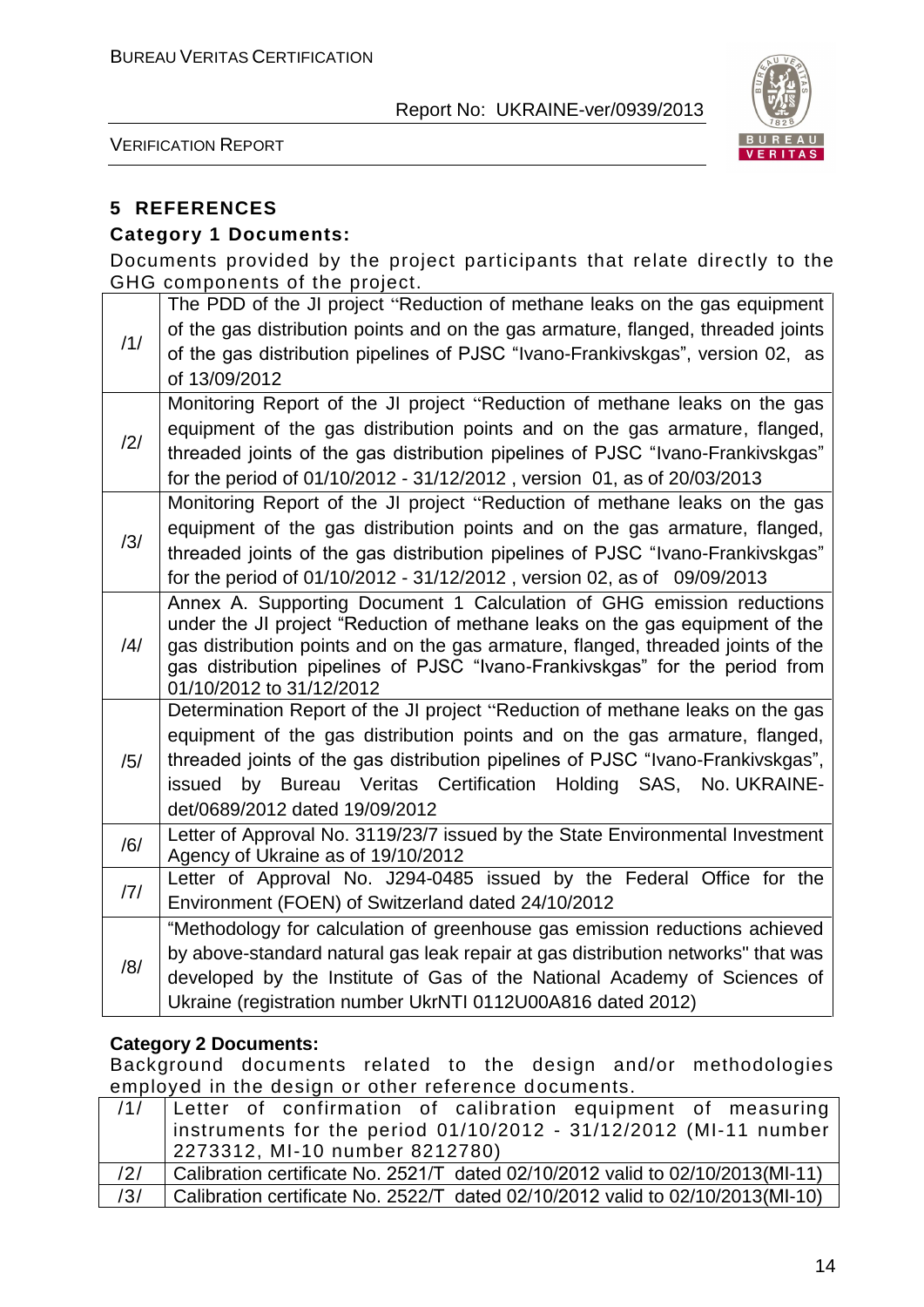

VERIFICATION REPORT

### **5 REFERENCES**

#### **Category 1 Documents:**

Documents provided by the project participants that relate directly to the GHG components of the project.

|     | The PDD of the JI project "Reduction of methane leaks on the gas equipment                                                                                      |
|-----|-----------------------------------------------------------------------------------------------------------------------------------------------------------------|
| /1/ | of the gas distribution points and on the gas armature, flanged, threaded joints                                                                                |
|     | of the gas distribution pipelines of PJSC "Ivano-Frankivskgas", version 02, as                                                                                  |
|     | of 13/09/2012                                                                                                                                                   |
|     | Monitoring Report of the JI project "Reduction of methane leaks on the gas                                                                                      |
| /2/ | equipment of the gas distribution points and on the gas armature, flanged,                                                                                      |
|     | threaded joints of the gas distribution pipelines of PJSC "Ivano-Frankivskgas"                                                                                  |
|     | for the period of 01/10/2012 - 31/12/2012, version 01, as of 20/03/2013                                                                                         |
|     | Monitoring Report of the JI project "Reduction of methane leaks on the gas                                                                                      |
| /3/ | equipment of the gas distribution points and on the gas armature, flanged,                                                                                      |
|     | threaded joints of the gas distribution pipelines of PJSC "Ivano-Frankivskgas"                                                                                  |
|     | for the period of 01/10/2012 - 31/12/2012, version 02, as of 09/09/2013                                                                                         |
|     | Annex A. Supporting Document 1 Calculation of GHG emission reductions                                                                                           |
| /4/ | under the JI project "Reduction of methane leaks on the gas equipment of the                                                                                    |
|     | gas distribution points and on the gas armature, flanged, threaded joints of the<br>gas distribution pipelines of PJSC "Ivano-Frankivskgas" for the period from |
|     | 01/10/2012 to 31/12/2012                                                                                                                                        |
|     | Determination Report of the JI project "Reduction of methane leaks on the gas                                                                                   |
|     | equipment of the gas distribution points and on the gas armature, flanged,                                                                                      |
| /5/ | threaded joints of the gas distribution pipelines of PJSC "Ivano-Frankivskgas",                                                                                 |
|     | by Bureau Veritas Certification Holding SAS, No. UKRAINE-<br>issued                                                                                             |
|     | det/0689/2012 dated 19/09/2012                                                                                                                                  |
| /6/ | Letter of Approval No. 3119/23/7 issued by the State Environmental Investment                                                                                   |
|     | Agency of Ukraine as of 19/10/2012                                                                                                                              |
| 7   | Letter of Approval No. J294-0485 issued by the Federal Office for the                                                                                           |
|     | Environment (FOEN) of Switzerland dated 24/10/2012                                                                                                              |
|     | "Methodology for calculation of greenhouse gas emission reductions achieved                                                                                     |
| /8/ | by above-standard natural gas leak repair at gas distribution networks" that was                                                                                |
|     | developed by the Institute of Gas of the National Academy of Sciences of                                                                                        |
|     | Ukraine (registration number UkrNTI 0112U00A816 dated 2012)                                                                                                     |

#### **Category 2 Documents:**

Background documents related to the design and/or methodologies employed in the design or other reference documents.

| /1/ | Letter of confirmation of calibration equipment of measuring                   |
|-----|--------------------------------------------------------------------------------|
|     | instruments for the period 01/10/2012 - 31/12/2012 (MI-11 number               |
|     | 2273312, MI-10 number 8212780)                                                 |
| /2/ | Calibration certificate No. 2521/T dated 02/10/2012 valid to 02/10/2013(MI-11) |
| /3/ | Calibration certificate No. 2522/T dated 02/10/2012 valid to 02/10/2013(MI-10) |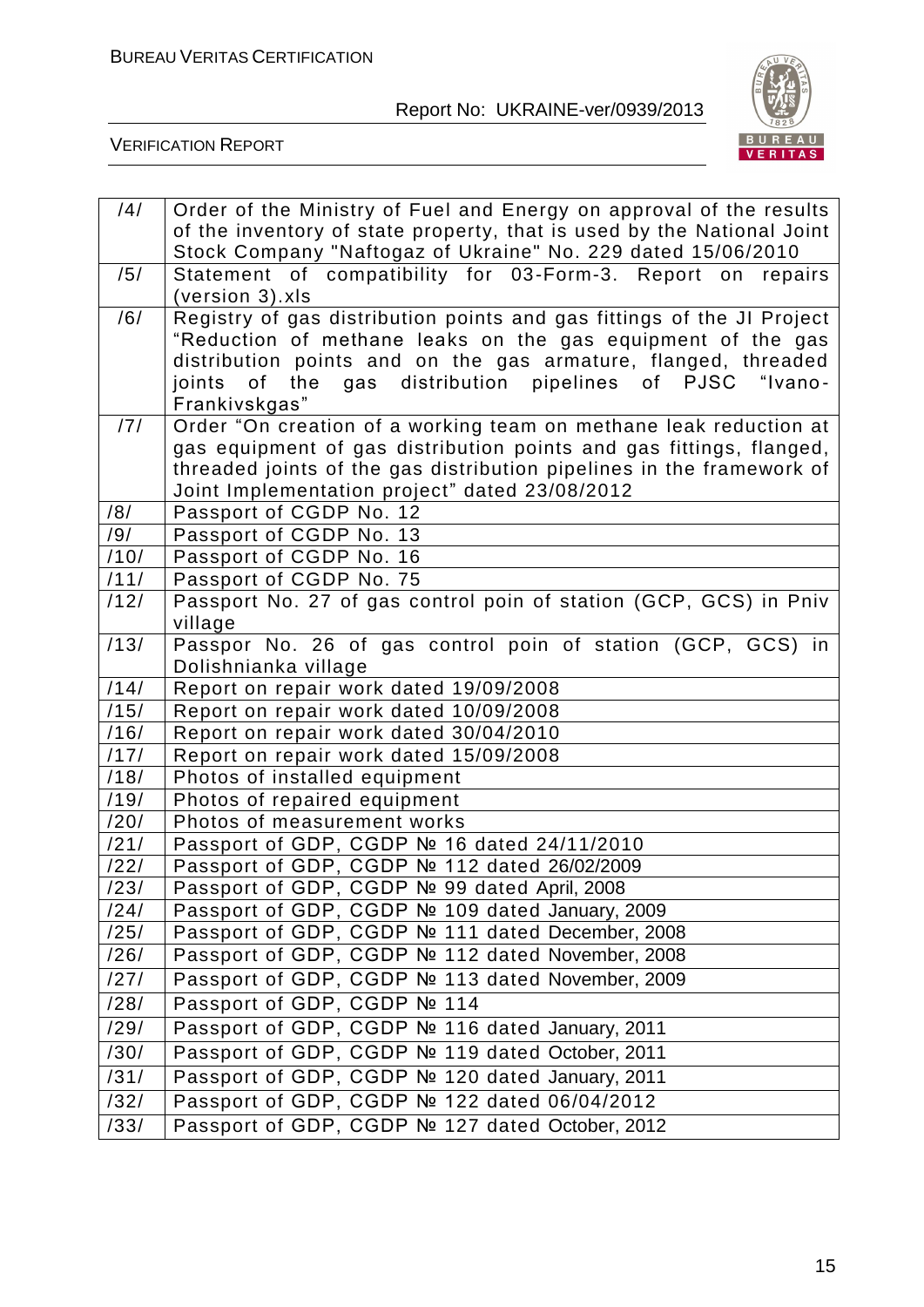

| /4/               | Order of the Ministry of Fuel and Energy on approval of the results                                                     |
|-------------------|-------------------------------------------------------------------------------------------------------------------------|
|                   | of the inventory of state property, that is used by the National Joint                                                  |
|                   | Stock Company "Naftogaz of Ukraine" No. 229 dated 15/06/2010                                                            |
| /5/               | Statement of compatibility for 03-Form-3. Report on repairs                                                             |
|                   | (version 3).xls                                                                                                         |
| /6/               | Registry of gas distribution points and gas fittings of the JI Project                                                  |
|                   | "Reduction of methane leaks on the gas equipment of the gas                                                             |
|                   | distribution points and on the gas armature, flanged, threaded                                                          |
|                   | of the<br>gas distribution pipelines of PJSC "Ivano-<br>joints                                                          |
|                   | Frankivskgas"                                                                                                           |
| /7/               | Order "On creation of a working team on methane leak reduction at                                                       |
|                   | gas equipment of gas distribution points and gas fittings, flanged,                                                     |
|                   | threaded joints of the gas distribution pipelines in the framework of<br>Joint Implementation project" dated 23/08/2012 |
| /8/               | Passport of CGDP No. 12                                                                                                 |
| /9/               | Passport of CGDP No. 13                                                                                                 |
| /10/              | Passport of CGDP No. 16                                                                                                 |
| /11/              | Passport of CGDP No. 75                                                                                                 |
| /12/              | Passport No. 27 of gas control poin of station (GCP, GCS) in Pniv                                                       |
|                   | village                                                                                                                 |
| /13/              | Passpor No. 26 of gas control poin of station (GCP, GCS) in                                                             |
|                   | Dolishnianka village                                                                                                    |
| /14/              | Report on repair work dated 19/09/2008                                                                                  |
| /15/              | Report on repair work dated 10/09/2008                                                                                  |
| /16/              | Report on repair work dated 30/04/2010                                                                                  |
| $\overline{1171}$ | Report on repair work dated 15/09/2008                                                                                  |
| /18/              | Photos of installed equipment                                                                                           |
| /19/              | Photos of repaired equipment                                                                                            |
| /20/              | Photos of measurement works                                                                                             |
| /21/              | Passport of GDP, CGDP № 16 dated 24/11/2010                                                                             |
| /22/              | Passport of GDP, CGDP Nº 112 dated 26/02/2009                                                                           |
| /23/              | Passport of GDP, CGDP Nº 99 dated April, 2008                                                                           |
| /24/              | Passport of GDP, CGDP Nº 109 dated January, 2009                                                                        |
| /25/<br>/26/      | Passport of GDP, CGDP Nº 111 dated December, 2008                                                                       |
|                   | Passport of GDP, CGDP Nº 112 dated November, 2008<br>Passport of GDP, CGDP Nº 113 dated November, 2009                  |
| /27/              |                                                                                                                         |
| /28/              | Passport of GDP, CGDP № 114                                                                                             |
| /29/              | Passport of GDP, CGDP Nº 116 dated January, 2011                                                                        |
| /30/              | Passport of GDP, CGDP Nº 119 dated October, 2011                                                                        |
| /31/              | Passport of GDP, CGDP Nº 120 dated January, 2011                                                                        |
| /32/              | Passport of GDP, CGDP № 122 dated 06/04/2012                                                                            |
| /33/              | Passport of GDP, CGDP Nº 127 dated October, 2012                                                                        |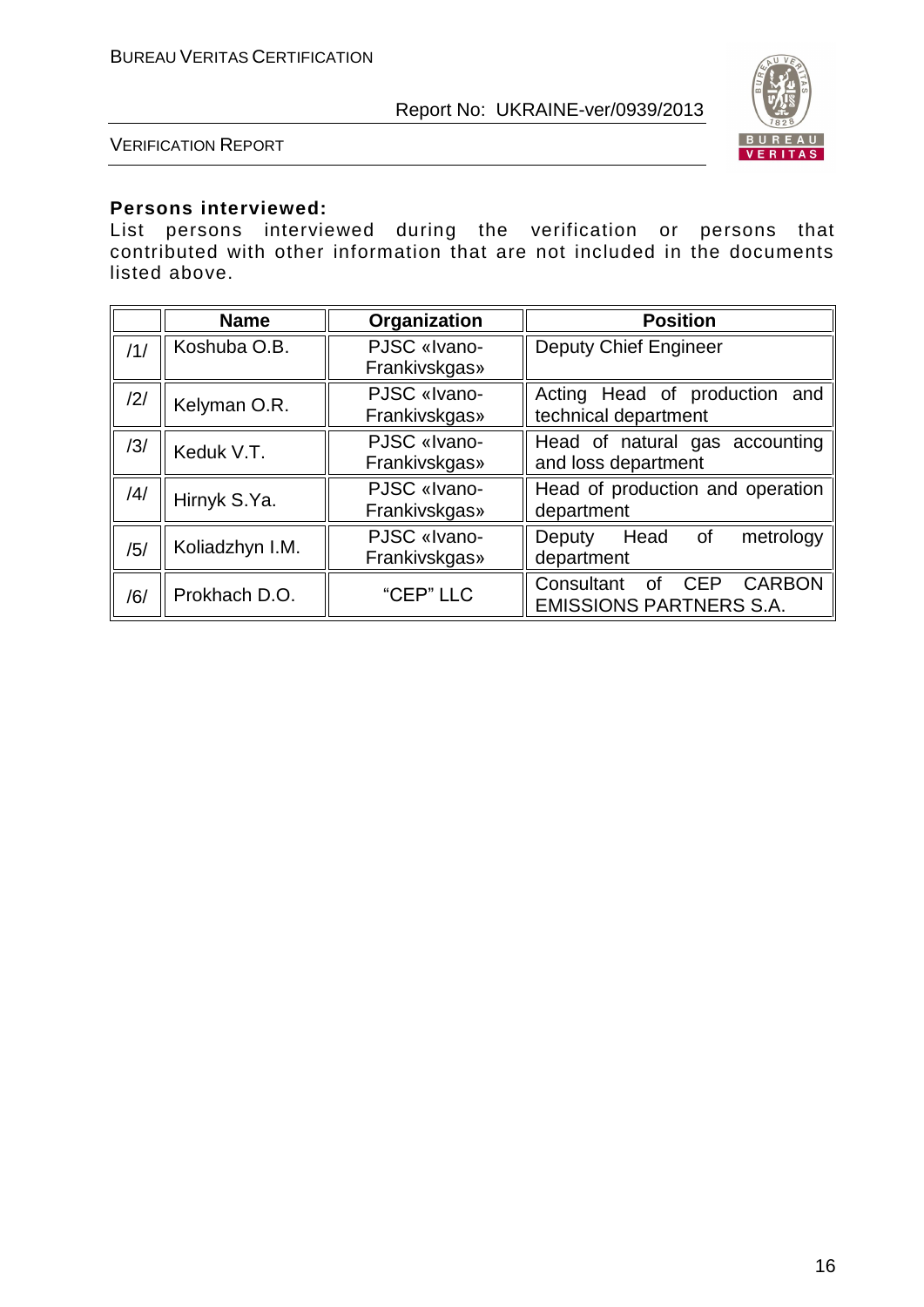

VERIFICATION REPORT

#### **Persons interviewed:**

List persons interviewed during the verification or persons that contributed with other information that are not included in the documents listed above.

|     | <b>Name</b>     | Organization  | <b>Position</b>                                        |
|-----|-----------------|---------------|--------------------------------------------------------|
| /1/ | Koshuba O.B.    | PJSC «Ivano-  | <b>Deputy Chief Engineer</b>                           |
|     |                 | Frankivskgas» |                                                        |
| 2   | Kelyman O.R.    | PJSC «Ivano-  | Acting Head of production and                          |
|     |                 | Frankivskgas» | technical department                                   |
| /3/ | Keduk V.T.      | PJSC «Ivano-  | Head of natural gas accounting                         |
|     |                 | Frankivskgas» | and loss department                                    |
| 4   | Hirnyk S.Ya.    | PJSC «Ivano-  | Head of production and operation                       |
|     |                 | Frankivskgas» | department                                             |
|     | Koliadzhyn I.M. | PJSC «Ivano-  | Head<br>0f<br>metrology<br>Deputy                      |
| /5/ |                 | Frankivskgas» | department                                             |
|     | Prokhach D.O.   | "CEP" LLC     | Consultant<br><b>CARBON</b><br><b>CEP</b><br><b>of</b> |
| /6/ |                 |               | <b>EMISSIONS PARTNERS S.A.</b>                         |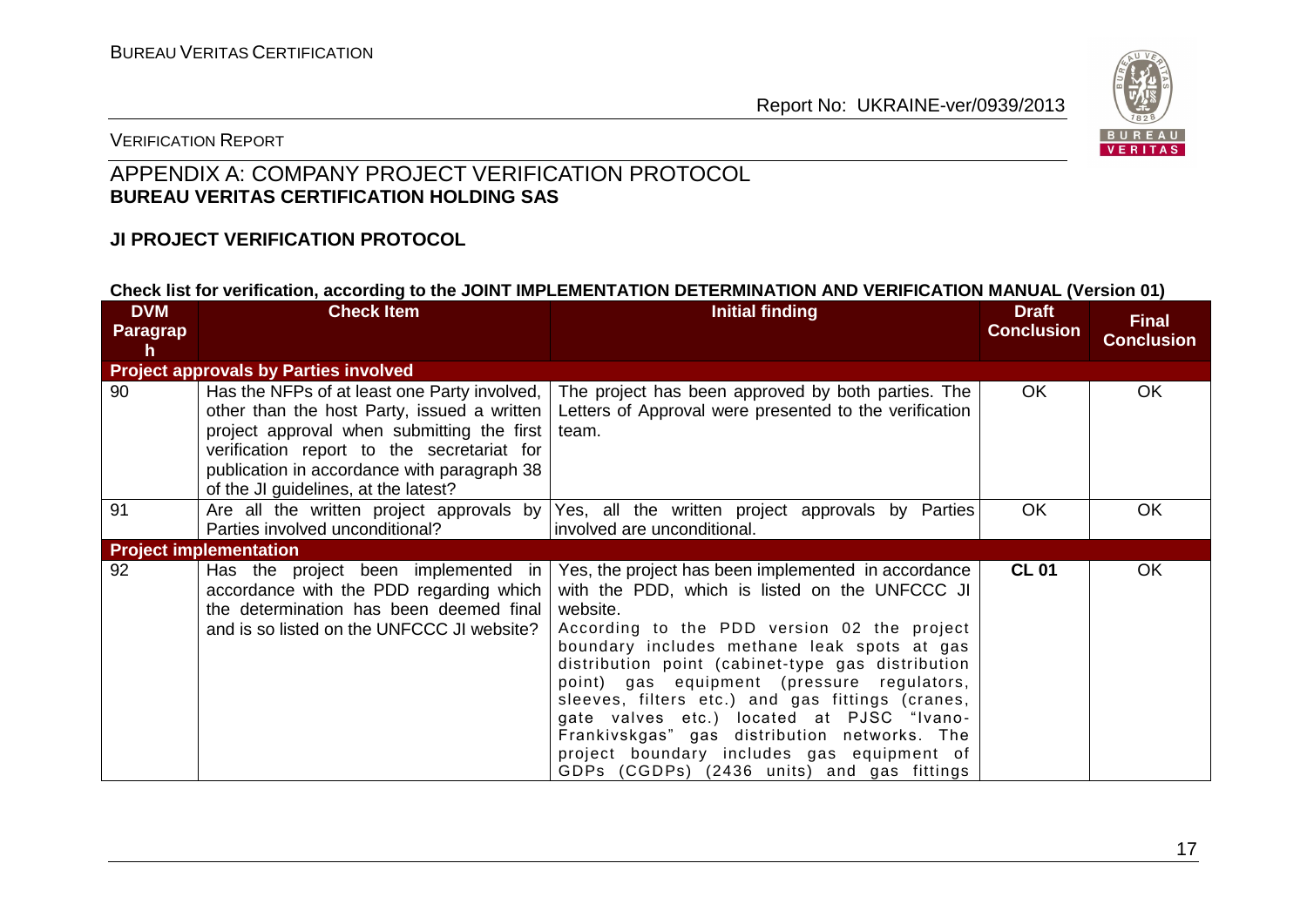

#### VERIFICATION REPORT

### APPENDIX A: COMPANY PROJECT VERIFICATION PROTOCOL **BUREAU VERITAS CERTIFICATION HOLDING SAS**

#### **JI PROJECT VERIFICATION PROTOCOL**

#### **Check list for verification, according to the JOINT IMPLEMENTATION DETERMINATION AND VERIFICATION MANUAL (Version 01)**

| <b>DVM</b><br>Paragrap | <b>Check Item</b>                                                                                                                                                                                                                                                              | <b>Initial finding</b>                                                                                                                                                                                                                                                                                                                                                                                                                                                                                                                                          | <b>Draft</b><br><b>Conclusion</b> | <b>Final</b><br><b>Conclusion</b> |
|------------------------|--------------------------------------------------------------------------------------------------------------------------------------------------------------------------------------------------------------------------------------------------------------------------------|-----------------------------------------------------------------------------------------------------------------------------------------------------------------------------------------------------------------------------------------------------------------------------------------------------------------------------------------------------------------------------------------------------------------------------------------------------------------------------------------------------------------------------------------------------------------|-----------------------------------|-----------------------------------|
| <b>h</b>               |                                                                                                                                                                                                                                                                                |                                                                                                                                                                                                                                                                                                                                                                                                                                                                                                                                                                 |                                   |                                   |
|                        | <b>Project approvals by Parties involved</b>                                                                                                                                                                                                                                   |                                                                                                                                                                                                                                                                                                                                                                                                                                                                                                                                                                 |                                   |                                   |
| 90                     | Has the NFPs of at least one Party involved,<br>other than the host Party, issued a written<br>project approval when submitting the first<br>verification report to the secretariat for<br>publication in accordance with paragraph 38<br>of the JI guidelines, at the latest? | The project has been approved by both parties. The<br>Letters of Approval were presented to the verification<br>team.                                                                                                                                                                                                                                                                                                                                                                                                                                           | OK.                               | <b>OK</b>                         |
| 91                     | Are all the written project approvals by<br>Parties involved unconditional?                                                                                                                                                                                                    | Yes, all the written project approvals by Parties<br>involved are unconditional.                                                                                                                                                                                                                                                                                                                                                                                                                                                                                | <b>OK</b>                         | <b>OK</b>                         |
|                        | <b>Project implementation</b>                                                                                                                                                                                                                                                  |                                                                                                                                                                                                                                                                                                                                                                                                                                                                                                                                                                 |                                   |                                   |
| 92                     | Has the project been implemented in<br>accordance with the PDD regarding which<br>the determination has been deemed final<br>and is so listed on the UNFCCC JI website?                                                                                                        | Yes, the project has been implemented in accordance<br>with the PDD, which is listed on the UNFCCC JI<br>website.<br>According to the PDD version 02 the project<br>boundary includes methane leak spots at gas<br>distribution point (cabinet-type gas distribution<br>point) gas equipment (pressure regulators,<br>sleeves, filters etc.) and gas fittings (cranes,<br>gate valves etc.) located at PJSC "Ivano-<br>Frankivskgas" gas distribution networks. The<br>project boundary includes gas equipment of<br>GDPs (CGDPs) (2436 units) and gas fittings | <b>CL 01</b>                      | <b>OK</b>                         |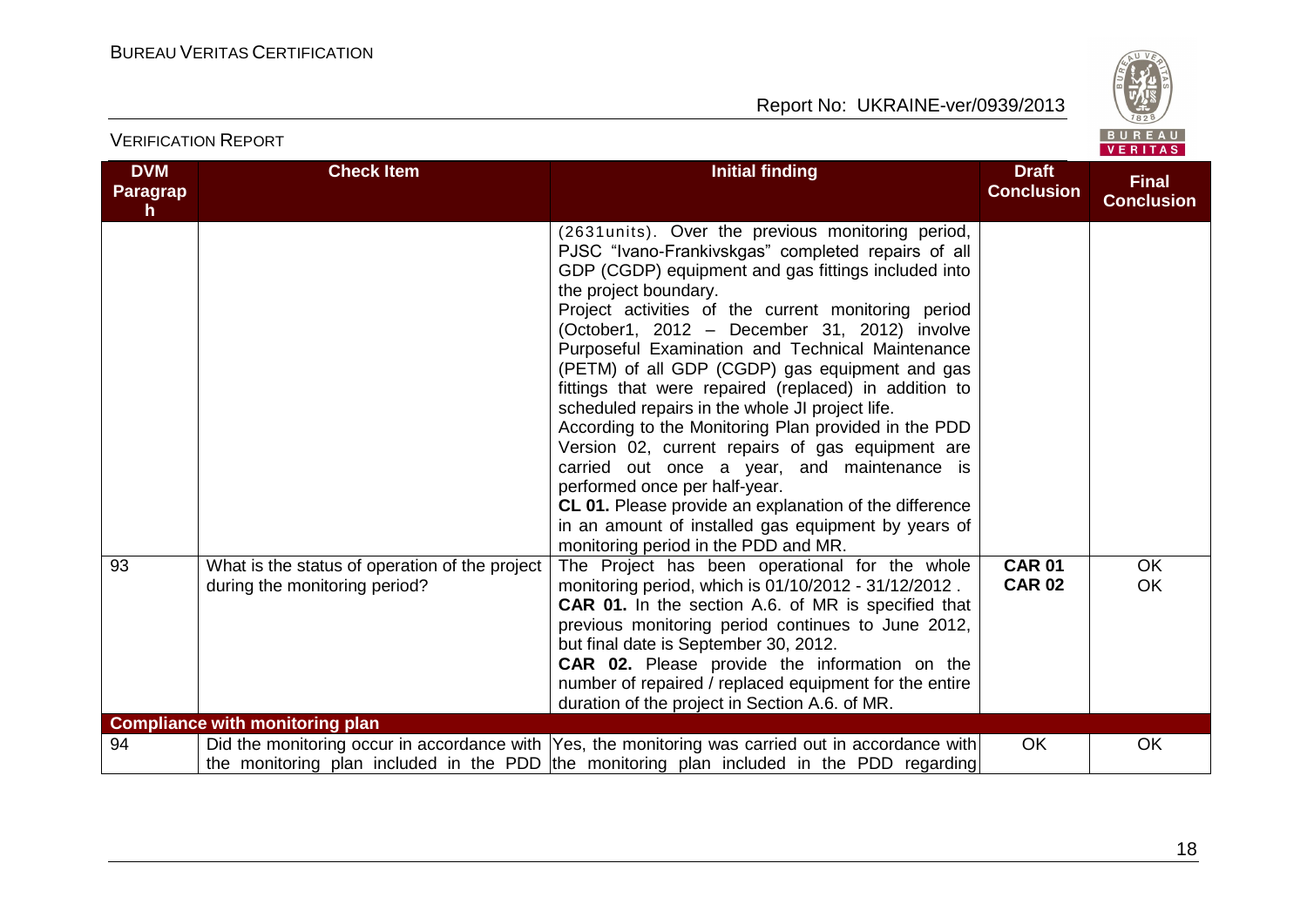

| <b>DVM</b><br>Paragrap<br>h. | <b>Check Item</b>                                                               | <b>Initial finding</b>                                                                                                                                                                                                                                                                                                                                                                                                                                                                                                                                                                                                                                                                                                                                                                                                                                                 | <b>Draft</b><br><b>Conclusion</b> | <b>Final</b><br><b>Conclusion</b> |
|------------------------------|---------------------------------------------------------------------------------|------------------------------------------------------------------------------------------------------------------------------------------------------------------------------------------------------------------------------------------------------------------------------------------------------------------------------------------------------------------------------------------------------------------------------------------------------------------------------------------------------------------------------------------------------------------------------------------------------------------------------------------------------------------------------------------------------------------------------------------------------------------------------------------------------------------------------------------------------------------------|-----------------------------------|-----------------------------------|
|                              |                                                                                 | (2631 units). Over the previous monitoring period,<br>PJSC "Ivano-Frankivskgas" completed repairs of all<br>GDP (CGDP) equipment and gas fittings included into<br>the project boundary.<br>Project activities of the current monitoring period<br>(October1, 2012 - December 31, 2012) involve<br>Purposeful Examination and Technical Maintenance<br>(PETM) of all GDP (CGDP) gas equipment and gas<br>fittings that were repaired (replaced) in addition to<br>scheduled repairs in the whole JI project life.<br>According to the Monitoring Plan provided in the PDD<br>Version 02, current repairs of gas equipment are<br>carried out once a year, and maintenance is<br>performed once per half-year.<br>CL 01. Please provide an explanation of the difference<br>in an amount of installed gas equipment by years of<br>monitoring period in the PDD and MR. |                                   |                                   |
| 93                           | What is the status of operation of the project<br>during the monitoring period? | The Project has been operational for the whole<br>monitoring period, which is 01/10/2012 - 31/12/2012.<br><b>CAR 01.</b> In the section A.6. of MR is specified that<br>previous monitoring period continues to June 2012,<br>but final date is September 30, 2012.<br><b>CAR 02.</b> Please provide the information on the<br>number of repaired / replaced equipment for the entire<br>duration of the project in Section A.6. of MR.                                                                                                                                                                                                                                                                                                                                                                                                                                | <b>CAR 01</b><br><b>CAR 02</b>    | <b>OK</b><br>OK                   |
|                              | <b>Compliance with monitoring plan</b>                                          |                                                                                                                                                                                                                                                                                                                                                                                                                                                                                                                                                                                                                                                                                                                                                                                                                                                                        |                                   |                                   |
| 94                           |                                                                                 | Did the monitoring occur in accordance with Yes, the monitoring was carried out in accordance with<br>the monitoring plan included in the PDD the monitoring plan included in the PDD regarding                                                                                                                                                                                                                                                                                                                                                                                                                                                                                                                                                                                                                                                                        | <b>OK</b>                         | OK                                |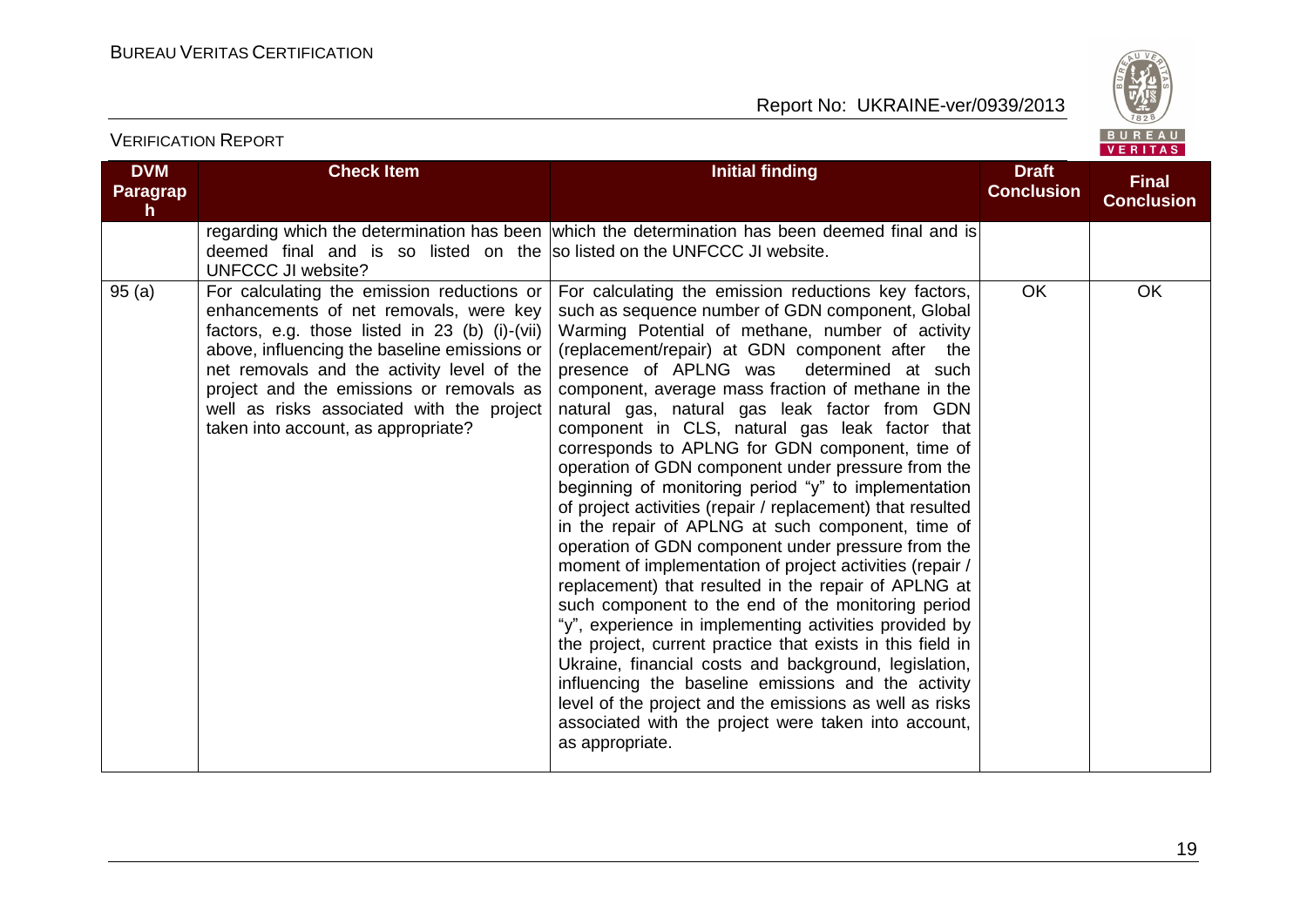

| <b>DVM</b><br><b>Paragrap</b><br>h | <b>Check Item</b>                                                                                                                                                                                                                                                                                                                                                    | <b>Initial finding</b>                                                                                                                                                                                                                                                                                                                                                                                                                                                                                                                                                                                                                                                                                                                                                                                                                                                                                                                                                                                                                                                                                                                                                                                                                                                                                                    | <b>Draft</b><br><b>Conclusion</b> | <b>Final</b><br><b>Conclusion</b> |
|------------------------------------|----------------------------------------------------------------------------------------------------------------------------------------------------------------------------------------------------------------------------------------------------------------------------------------------------------------------------------------------------------------------|---------------------------------------------------------------------------------------------------------------------------------------------------------------------------------------------------------------------------------------------------------------------------------------------------------------------------------------------------------------------------------------------------------------------------------------------------------------------------------------------------------------------------------------------------------------------------------------------------------------------------------------------------------------------------------------------------------------------------------------------------------------------------------------------------------------------------------------------------------------------------------------------------------------------------------------------------------------------------------------------------------------------------------------------------------------------------------------------------------------------------------------------------------------------------------------------------------------------------------------------------------------------------------------------------------------------------|-----------------------------------|-----------------------------------|
|                                    | deemed final and is so listed on the solisted on the UNFCCC JI website.<br><b>UNFCCC JI website?</b>                                                                                                                                                                                                                                                                 | regarding which the determination has been which the determination has been deemed final and is                                                                                                                                                                                                                                                                                                                                                                                                                                                                                                                                                                                                                                                                                                                                                                                                                                                                                                                                                                                                                                                                                                                                                                                                                           |                                   |                                   |
| 95(a)                              | For calculating the emission reductions or<br>enhancements of net removals, were key<br>factors, e.g. those listed in 23 (b) (i)-(vii)<br>above, influencing the baseline emissions or<br>net removals and the activity level of the<br>project and the emissions or removals as<br>well as risks associated with the project<br>taken into account, as appropriate? | For calculating the emission reductions key factors,<br>such as sequence number of GDN component, Global<br>Warming Potential of methane, number of activity<br>(replacement/repair) at GDN component after the<br>presence of APLNG was<br>determined at such<br>component, average mass fraction of methane in the<br>natural gas, natural gas leak factor from GDN<br>component in CLS, natural gas leak factor that<br>corresponds to APLNG for GDN component, time of<br>operation of GDN component under pressure from the<br>beginning of monitoring period "y" to implementation<br>of project activities (repair / replacement) that resulted<br>in the repair of APLNG at such component, time of<br>operation of GDN component under pressure from the<br>moment of implementation of project activities (repair /<br>replacement) that resulted in the repair of APLNG at<br>such component to the end of the monitoring period<br>"y", experience in implementing activities provided by<br>the project, current practice that exists in this field in<br>Ukraine, financial costs and background, legislation,<br>influencing the baseline emissions and the activity<br>level of the project and the emissions as well as risks<br>associated with the project were taken into account,<br>as appropriate. | <b>OK</b>                         | <b>OK</b>                         |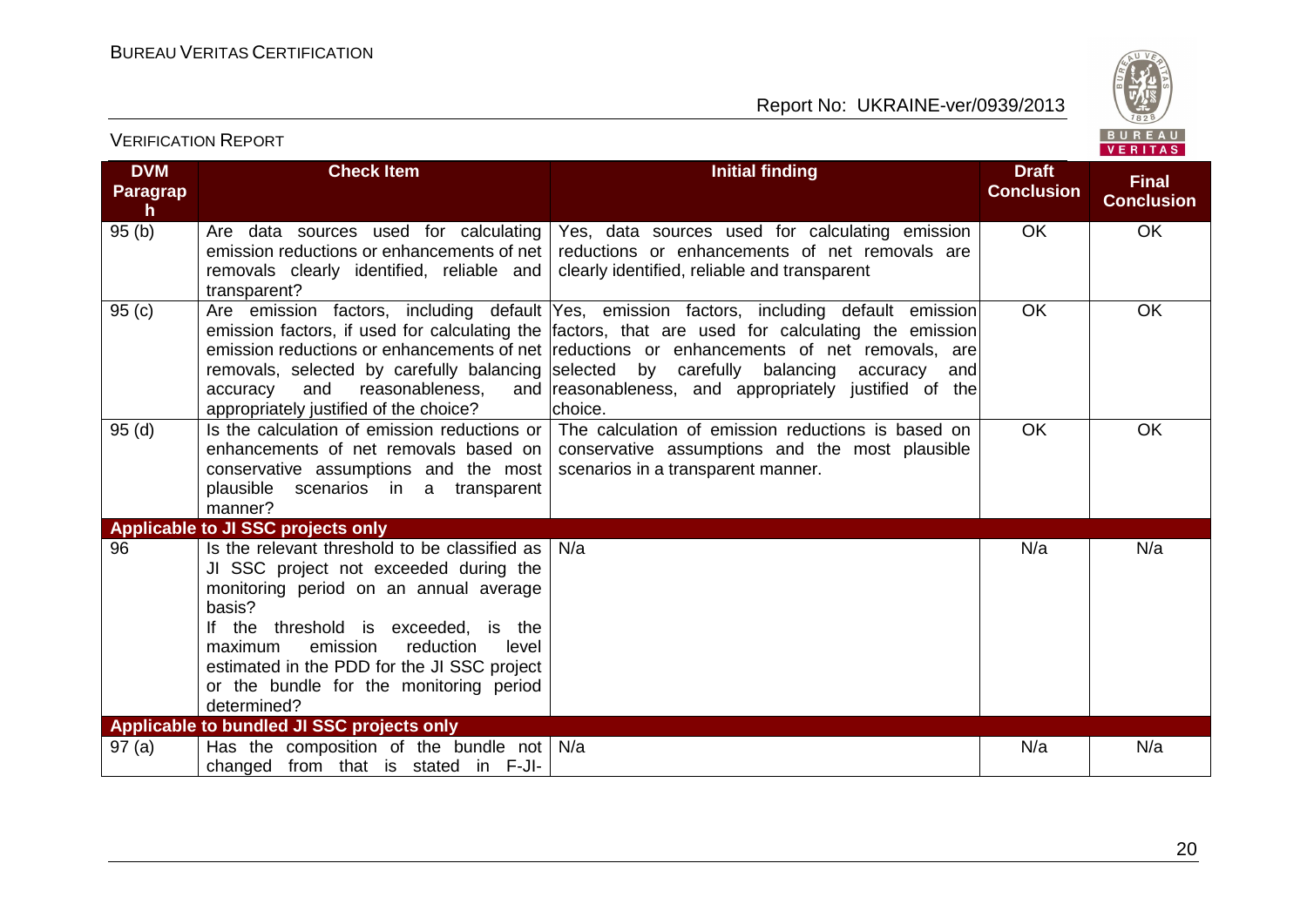

| <b>DVM</b><br><b>Paragrap</b><br>$\mathsf{h}$ | <b>Check Item</b>                                                                                                                                                                                                                                                                                                                         | <b>Initial finding</b>                                                                                                                                                                                                                                                                                                                                                                            | <b>Draft</b><br><b>Conclusion</b> | <b>Final</b><br><b>Conclusion</b> |
|-----------------------------------------------|-------------------------------------------------------------------------------------------------------------------------------------------------------------------------------------------------------------------------------------------------------------------------------------------------------------------------------------------|---------------------------------------------------------------------------------------------------------------------------------------------------------------------------------------------------------------------------------------------------------------------------------------------------------------------------------------------------------------------------------------------------|-----------------------------------|-----------------------------------|
| 95(b)                                         | Are data sources used for calculating<br>emission reductions or enhancements of net<br>removals clearly identified, reliable and<br>transparent?                                                                                                                                                                                          | Yes, data sources used for calculating emission<br>reductions or enhancements of net removals are<br>clearly identified, reliable and transparent                                                                                                                                                                                                                                                 | <b>OK</b>                         | OK                                |
| 95(c)                                         | removals, selected by carefully balancing selected by carefully<br>accuracy<br>and<br>reasonableness,<br>appropriately justified of the choice?                                                                                                                                                                                           | Are emission factors, including default Yes, emission factors, including default emission<br>emission factors, if used for calculating the factors, that are used for calculating the emission<br>emission reductions or enhancements of net reductions or enhancements of net removals, are<br>balancing<br>accuracy<br>and<br>and reasonableness, and appropriately justified of the<br>choice. | OK                                | OK                                |
| 95(d)                                         | Is the calculation of emission reductions or<br>enhancements of net removals based on<br>conservative assumptions and the most<br>plausible scenarios in a transparent<br>manner?                                                                                                                                                         | The calculation of emission reductions is based on<br>conservative assumptions and the most plausible<br>scenarios in a transparent manner.                                                                                                                                                                                                                                                       | <b>OK</b>                         | <b>OK</b>                         |
|                                               | Applicable to JI SSC projects only                                                                                                                                                                                                                                                                                                        |                                                                                                                                                                                                                                                                                                                                                                                                   |                                   |                                   |
| 96                                            | Is the relevant threshold to be classified as<br>JI SSC project not exceeded during the<br>monitoring period on an annual average<br>basis?<br>If the threshold is exceeded, is the<br>emission<br>reduction<br>level<br>maximum<br>estimated in the PDD for the JI SSC project<br>or the bundle for the monitoring period<br>determined? | N/a                                                                                                                                                                                                                                                                                                                                                                                               | N/a                               | N/a                               |
|                                               | Applicable to bundled JI SSC projects only                                                                                                                                                                                                                                                                                                |                                                                                                                                                                                                                                                                                                                                                                                                   |                                   |                                   |
| 97(a)                                         | Has the composition of the bundle not $\vert$ N/a<br>changed from that is stated in F-JI-                                                                                                                                                                                                                                                 |                                                                                                                                                                                                                                                                                                                                                                                                   | N/a                               | N/a                               |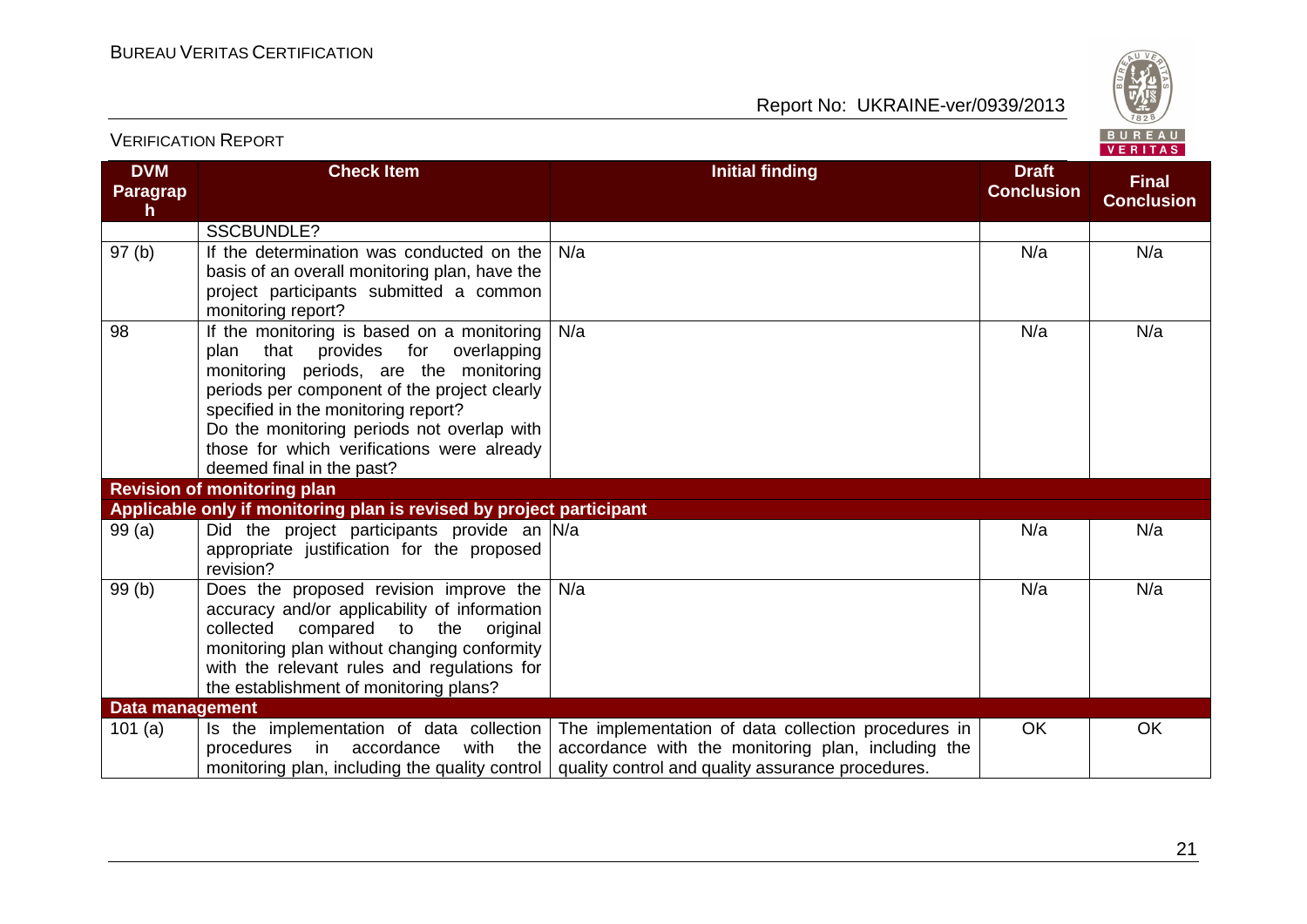

| <b>DVM</b><br><b>Paragrap</b><br>$\mathsf{h}$ | <b>Check Item</b>                                                                                                                                                                                                                                                                                                                          | <b>Initial finding</b>                                                                                                                                         | <b>Draft</b><br><b>Conclusion</b> | <b>Final</b><br><b>Conclusion</b> |
|-----------------------------------------------|--------------------------------------------------------------------------------------------------------------------------------------------------------------------------------------------------------------------------------------------------------------------------------------------------------------------------------------------|----------------------------------------------------------------------------------------------------------------------------------------------------------------|-----------------------------------|-----------------------------------|
|                                               | <b>SSCBUNDLE?</b>                                                                                                                                                                                                                                                                                                                          |                                                                                                                                                                |                                   |                                   |
| 97 <sub>(b)</sub>                             | If the determination was conducted on the<br>basis of an overall monitoring plan, have the<br>project participants submitted a common<br>monitoring report?                                                                                                                                                                                | N/a                                                                                                                                                            | N/a                               | N/a                               |
| 98                                            | If the monitoring is based on a monitoring<br>plan that provides for overlapping<br>monitoring periods, are the monitoring<br>periods per component of the project clearly<br>specified in the monitoring report?<br>Do the monitoring periods not overlap with<br>those for which verifications were already<br>deemed final in the past? | N/a                                                                                                                                                            | N/a                               | N/a                               |
|                                               | <b>Revision of monitoring plan</b>                                                                                                                                                                                                                                                                                                         |                                                                                                                                                                |                                   |                                   |
|                                               | Applicable only if monitoring plan is revised by project participant                                                                                                                                                                                                                                                                       |                                                                                                                                                                |                                   |                                   |
| 99(a)                                         | Did the project participants provide an N/a<br>appropriate justification for the proposed<br>revision?                                                                                                                                                                                                                                     |                                                                                                                                                                | N/a                               | N/a                               |
| 99(b)                                         | Does the proposed revision improve the<br>accuracy and/or applicability of information<br>collected compared to the<br>original<br>monitoring plan without changing conformity<br>with the relevant rules and regulations for<br>the establishment of monitoring plans?                                                                    | N/a                                                                                                                                                            | N/a                               | N/a                               |
| <b>Data management</b>                        |                                                                                                                                                                                                                                                                                                                                            |                                                                                                                                                                |                                   |                                   |
| 101 $(a)$                                     | Is the implementation of data collection<br>procedures<br>accordance<br>the<br>with<br>in t<br>monitoring plan, including the quality control                                                                                                                                                                                              | The implementation of data collection procedures in<br>accordance with the monitoring plan, including the<br>quality control and quality assurance procedures. | <b>OK</b>                         | OK                                |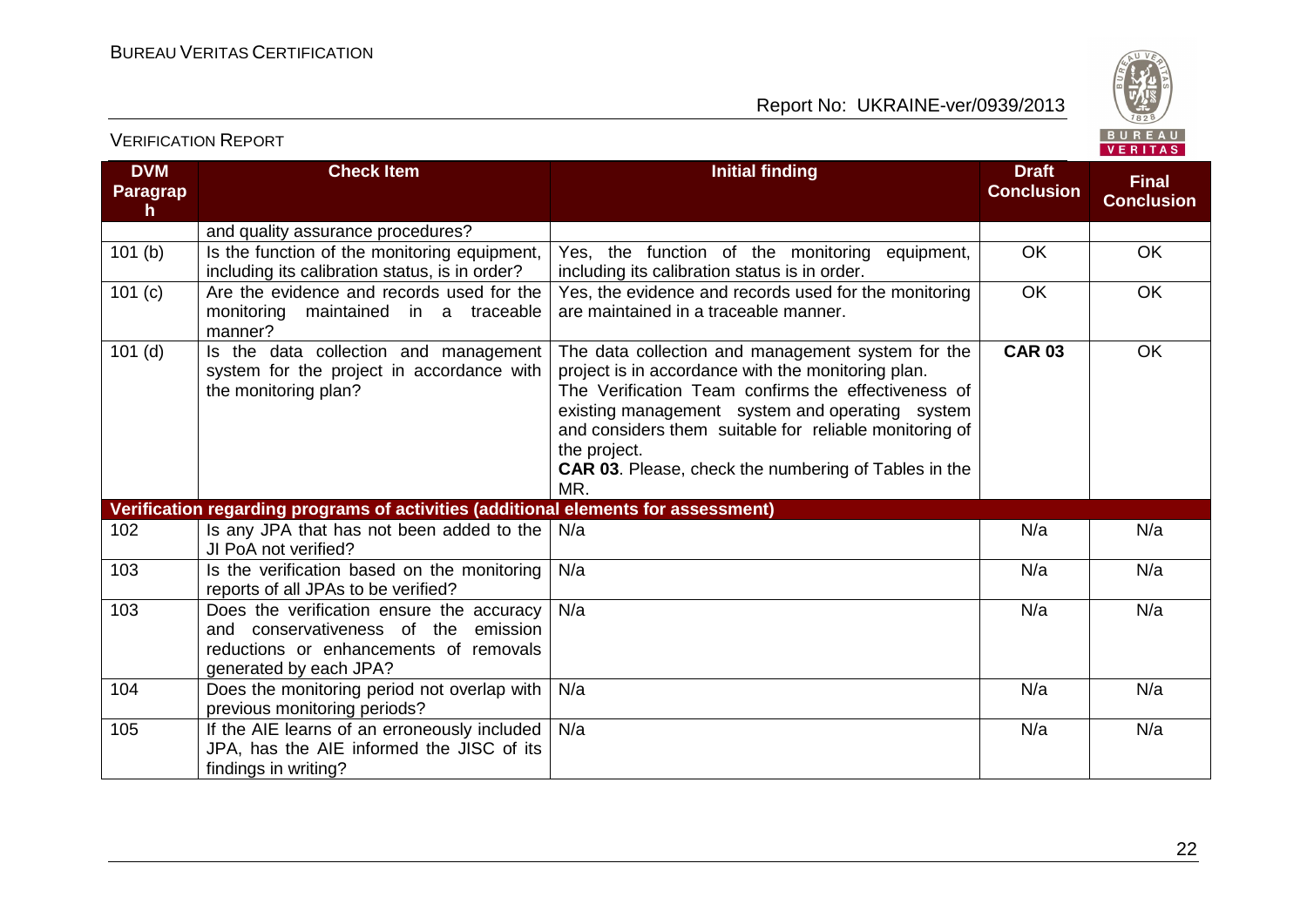

| <b>DVM</b><br><b>Paragrap</b><br>h. | <b>Check Item</b>                                                                                                                                     | <b>Initial finding</b>                                                                                                                                                                                                                                                                                                                                            | <b>Draft</b><br><b>Conclusion</b> | <b>Final</b><br><b>Conclusion</b> |
|-------------------------------------|-------------------------------------------------------------------------------------------------------------------------------------------------------|-------------------------------------------------------------------------------------------------------------------------------------------------------------------------------------------------------------------------------------------------------------------------------------------------------------------------------------------------------------------|-----------------------------------|-----------------------------------|
|                                     | and quality assurance procedures?                                                                                                                     |                                                                                                                                                                                                                                                                                                                                                                   |                                   |                                   |
| 101(b)                              | Is the function of the monitoring equipment,<br>including its calibration status, is in order?                                                        | Yes, the function of the monitoring equipment,<br>including its calibration status is in order.                                                                                                                                                                                                                                                                   | <b>OK</b>                         | OK                                |
| 101 (c)                             | Are the evidence and records used for the<br>monitoring maintained in a traceable<br>manner?                                                          | Yes, the evidence and records used for the monitoring<br>are maintained in a traceable manner.                                                                                                                                                                                                                                                                    | OK                                | OK                                |
| $101$ (d)                           | Is the data collection and management<br>system for the project in accordance with<br>the monitoring plan?                                            | The data collection and management system for the<br>project is in accordance with the monitoring plan.<br>The Verification Team confirms the effectiveness of<br>existing management system and operating system<br>and considers them suitable for reliable monitoring of<br>the project.<br><b>CAR 03.</b> Please, check the numbering of Tables in the<br>MR. | <b>CAR 03</b>                     | OK                                |
|                                     | Verification regarding programs of activities (additional elements for assessment)                                                                    |                                                                                                                                                                                                                                                                                                                                                                   |                                   |                                   |
| 102                                 | Is any JPA that has not been added to the<br>JI PoA not verified?                                                                                     | N/a                                                                                                                                                                                                                                                                                                                                                               | N/a                               | N/a                               |
| 103                                 | Is the verification based on the monitoring<br>reports of all JPAs to be verified?                                                                    | N/a                                                                                                                                                                                                                                                                                                                                                               | N/a                               | N/a                               |
| 103                                 | Does the verification ensure the accuracy<br>and conservativeness of the emission<br>reductions or enhancements of removals<br>generated by each JPA? | N/a                                                                                                                                                                                                                                                                                                                                                               | N/a                               | N/a                               |
| 104                                 | Does the monitoring period not overlap with<br>previous monitoring periods?                                                                           | N/a                                                                                                                                                                                                                                                                                                                                                               | N/a                               | N/a                               |
| 105                                 | If the AIE learns of an erroneously included<br>JPA, has the AIE informed the JISC of its<br>findings in writing?                                     | N/a                                                                                                                                                                                                                                                                                                                                                               | N/a                               | N/a                               |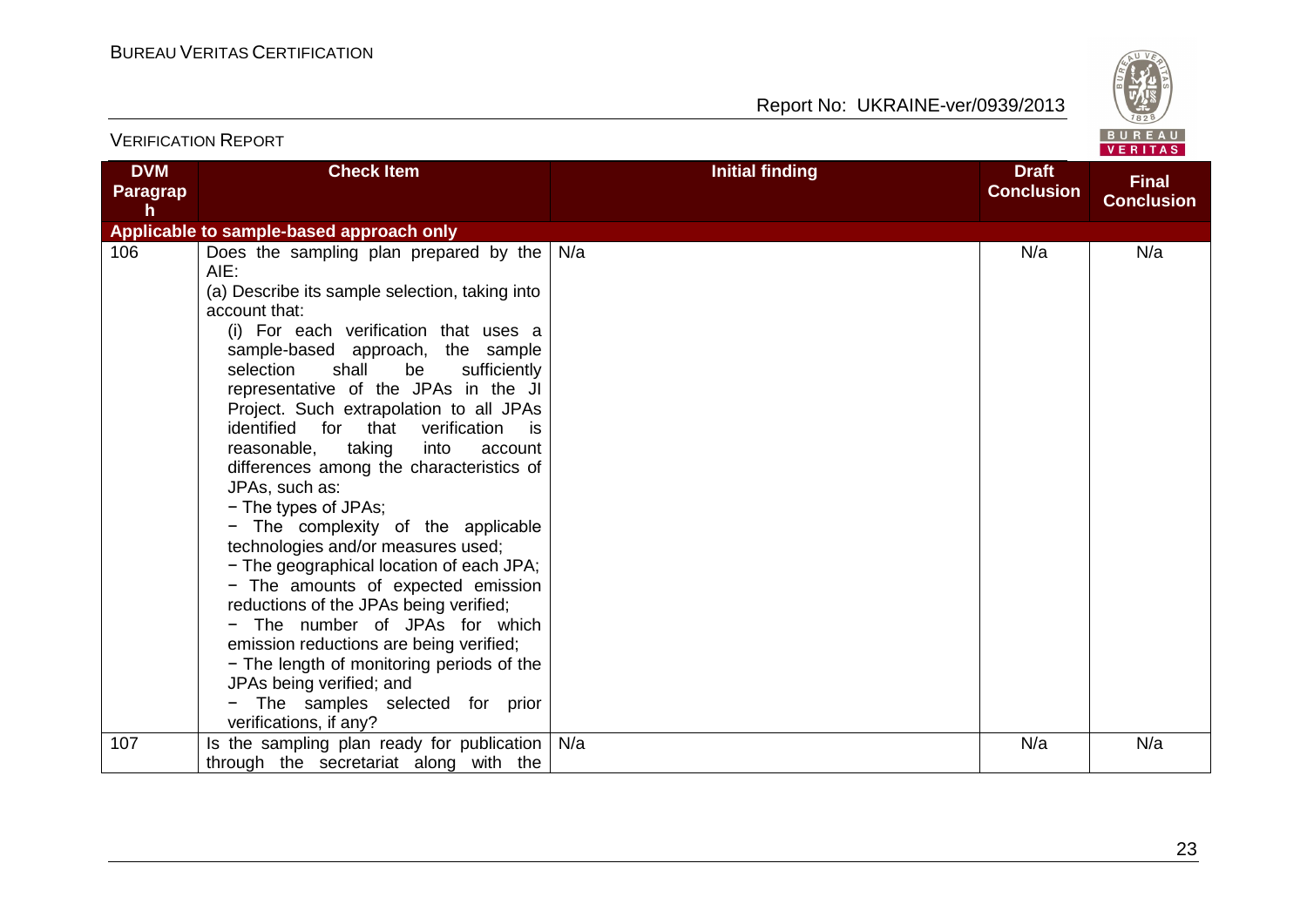Report No: UKRAINE-ver/0939/2013



| <b>VERIFICATION REPORT</b>          |                                                                                                                                                                                                                                                                                                                                                                                                                                                                                                                                                                                                                                                                                                                                                                                                                                                                                                                                               |                        |                                   | BUREAU<br>VERITAS                 |
|-------------------------------------|-----------------------------------------------------------------------------------------------------------------------------------------------------------------------------------------------------------------------------------------------------------------------------------------------------------------------------------------------------------------------------------------------------------------------------------------------------------------------------------------------------------------------------------------------------------------------------------------------------------------------------------------------------------------------------------------------------------------------------------------------------------------------------------------------------------------------------------------------------------------------------------------------------------------------------------------------|------------------------|-----------------------------------|-----------------------------------|
| <b>DVM</b><br><b>Paragrap</b><br>h. | <b>Check Item</b>                                                                                                                                                                                                                                                                                                                                                                                                                                                                                                                                                                                                                                                                                                                                                                                                                                                                                                                             | <b>Initial finding</b> | <b>Draft</b><br><b>Conclusion</b> | <b>Final</b><br><b>Conclusion</b> |
|                                     | Applicable to sample-based approach only                                                                                                                                                                                                                                                                                                                                                                                                                                                                                                                                                                                                                                                                                                                                                                                                                                                                                                      |                        |                                   |                                   |
| 106                                 | Does the sampling plan prepared by the<br>AIE:<br>(a) Describe its sample selection, taking into<br>account that:<br>(i) For each verification that uses a<br>sample-based approach, the sample<br>selection<br>shall<br>be<br>sufficiently<br>representative of the JPAs in the JI<br>Project. Such extrapolation to all JPAs<br>identified<br>for that<br>verification<br>is.<br>reasonable,<br>taking<br>into<br>account<br>differences among the characteristics of<br>JPAs, such as:<br>- The types of JPAs;<br>- The complexity of the applicable<br>technologies and/or measures used;<br>- The geographical location of each JPA;<br>- The amounts of expected emission<br>reductions of the JPAs being verified;<br>- The number of JPAs for which<br>emission reductions are being verified;<br>- The length of monitoring periods of the<br>JPAs being verified; and<br>- The samples selected for prior<br>verifications, if any? | N/a                    | N/a                               | N/a                               |
| 107                                 | Is the sampling plan ready for publication<br>through the secretariat along with the                                                                                                                                                                                                                                                                                                                                                                                                                                                                                                                                                                                                                                                                                                                                                                                                                                                          | N/a                    | N/a                               | N/a                               |

23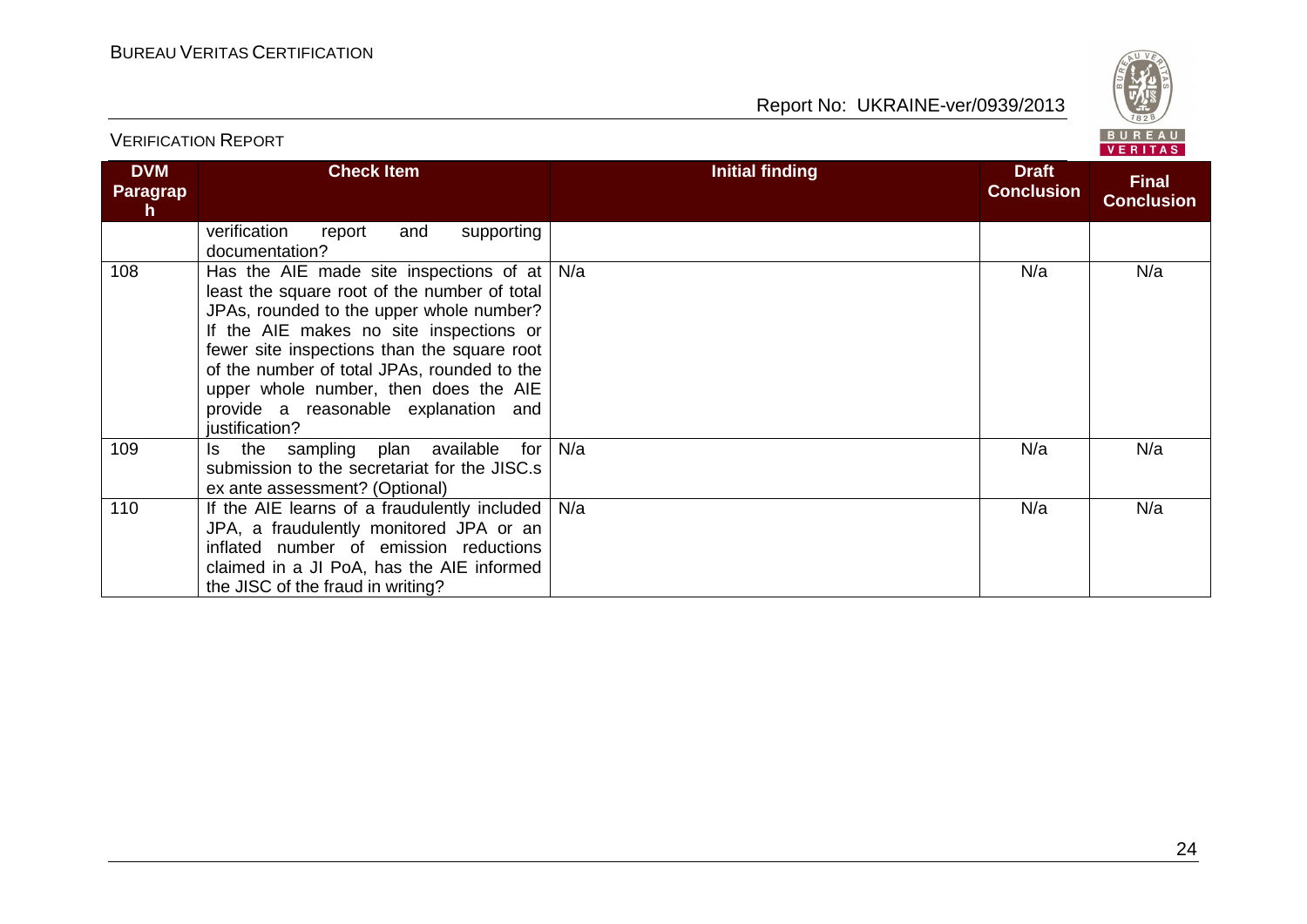VERIFICATION REPORT

Report No: UKRAINE-ver/0939/2013



|                                     |                                                                                                                                                                                                                                                                                                                                                                                 |                        |                                   | 1.111172                          |
|-------------------------------------|---------------------------------------------------------------------------------------------------------------------------------------------------------------------------------------------------------------------------------------------------------------------------------------------------------------------------------------------------------------------------------|------------------------|-----------------------------------|-----------------------------------|
| <b>DVM</b><br><b>Paragrap</b><br>h. | <b>Check Item</b>                                                                                                                                                                                                                                                                                                                                                               | <b>Initial finding</b> | <b>Draft</b><br><b>Conclusion</b> | <b>Final</b><br><b>Conclusion</b> |
|                                     | verification<br>supporting<br>and<br>report<br>documentation?                                                                                                                                                                                                                                                                                                                   |                        |                                   |                                   |
| 108                                 | Has the AIE made site inspections of at<br>least the square root of the number of total<br>JPAs, rounded to the upper whole number?<br>If the AIE makes no site inspections or<br>fewer site inspections than the square root<br>of the number of total JPAs, rounded to the<br>upper whole number, then does the AIE<br>provide a reasonable explanation and<br>justification? | N/a                    | N/a                               | N/a                               |
| 109                                 | the sampling plan available<br>for<br>ls.<br>submission to the secretariat for the JISC.s<br>ex ante assessment? (Optional)                                                                                                                                                                                                                                                     | N/a                    | N/a                               | N/a                               |
| 110                                 | If the AIE learns of a fraudulently included<br>JPA, a fraudulently monitored JPA or an<br>inflated number of emission reductions<br>claimed in a JI PoA, has the AIE informed<br>the JISC of the fraud in writing?                                                                                                                                                             | N/a                    | N/a                               | N/a                               |

24